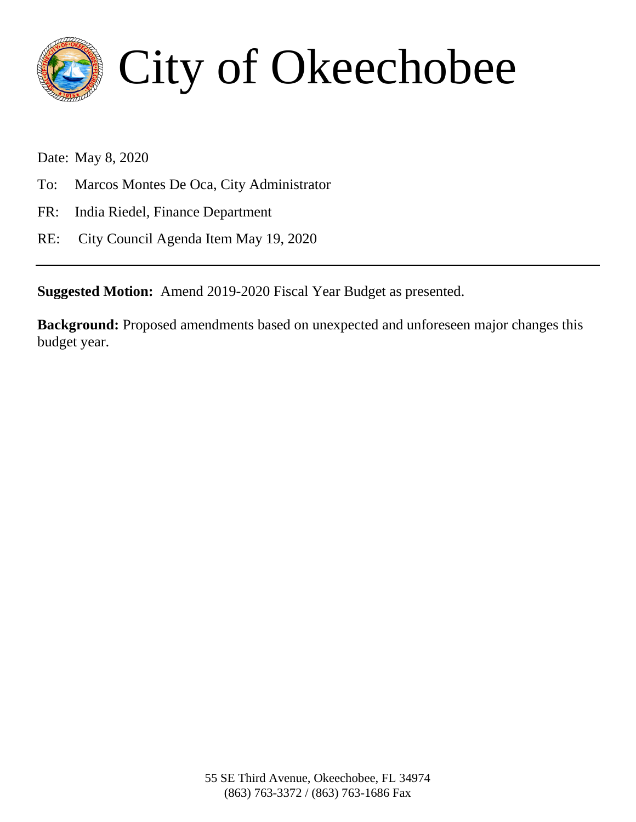

# City of Okeechobee

Date: May 8, 2020

- To: Marcos Montes De Oca, City Administrator
- FR: India Riedel, Finance Department
- RE: City Council Agenda Item May 19, 2020

**Suggested Motion:** Amend 2019-2020 Fiscal Year Budget as presented.

**Background:** Proposed amendments based on unexpected and unforeseen major changes this budget year.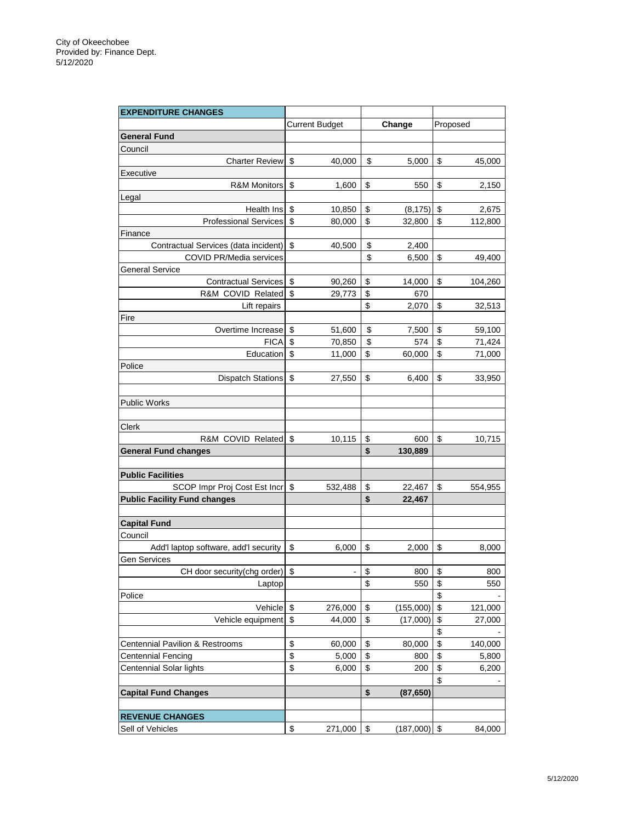| <b>EXPENDITURE CHANGES</b>                 |                       |        |           |                         |         |
|--------------------------------------------|-----------------------|--------|-----------|-------------------------|---------|
|                                            | <b>Current Budget</b> | Change |           | Proposed                |         |
| General Fund                               |                       |        |           |                         |         |
| Council                                    |                       |        |           |                         |         |
| <b>Charter Review</b>                      | \$<br>40,000          | \$     | 5,000     | \$                      | 45,000  |
| Executive                                  |                       |        |           |                         |         |
| <b>R&amp;M Monitors</b>                    | \$<br>1,600           | \$     | 550       | \$                      | 2,150   |
| Legal                                      |                       |        |           |                         |         |
| Health Ins                                 | \$<br>10,850          | \$     | (8, 175)  | \$                      | 2,675   |
| <b>Professional Services</b>               | \$<br>80,000          | \$     | 32,800    | \$                      | 112,800 |
| Finance                                    |                       |        |           |                         |         |
| Contractual Services (data incident)       | \$<br>40,500          | \$     | 2,400     |                         |         |
| <b>COVID PR/Media services</b>             |                       | \$     | 6,500     | \$                      | 49,400  |
| <b>General Service</b>                     |                       |        |           |                         |         |
| Contractual Services                       | \$<br>90,260          | \$     | 14,000    | \$                      | 104,260 |
| R&M COVID Related \$                       | 29,773                | \$     | 670       |                         |         |
| Lift repairs                               |                       | \$     | 2,070     | \$                      | 32,513  |
| Fire                                       |                       |        |           |                         |         |
| Overtime Increase                          | \$<br>51,600          | \$     | 7,500     | \$                      | 59,100  |
| <b>FICA</b>                                | \$<br>70,850          | \$     | 574       | \$                      | 71,424  |
| Education \$                               |                       | \$     |           | \$                      | 71,000  |
|                                            | 11,000                |        | 60,000    |                         |         |
| Police                                     |                       |        |           | \$                      |         |
| Dispatch Stations                          | \$<br>27,550          | \$     | 6,400     |                         | 33,950  |
|                                            |                       |        |           |                         |         |
| <b>Public Works</b>                        |                       |        |           |                         |         |
|                                            |                       |        |           |                         |         |
| Clerk                                      |                       |        |           |                         |         |
| R&M COVID Related                          | \$<br>10,115          | \$     | 600       | \$                      | 10,715  |
| <b>General Fund changes</b>                |                       | \$     | 130,889   |                         |         |
|                                            |                       |        |           |                         |         |
| <b>Public Facilities</b>                   |                       |        |           |                         |         |
| SCOP Impr Proj Cost Est Incr               | \$<br>532,488         | \$     | 22,467    | \$                      | 554,955 |
| <b>Public Facility Fund changes</b>        |                       | \$     | 22,467    |                         |         |
|                                            |                       |        |           |                         |         |
| <b>Capital Fund</b>                        |                       |        |           |                         |         |
| Council                                    |                       |        |           |                         |         |
| Add'l laptop software, add'l security      | \$<br>6,000           | \$     | 2,000     | \$                      | 8,000   |
| Gen Services                               |                       |        |           |                         |         |
| CH door security(chg order)                | \$                    | \$     | 800       | \$                      | 800     |
| Laptop                                     |                       | \$     | 550       | \$                      | 550     |
| Police                                     |                       |        |           | \$                      |         |
| Vehicle                                    | \$<br>276,000         | \$     | (155,000) | \$                      | 121,000 |
| Vehicle equipment                          | \$<br>44,000          | \$     | (17,000)  | \$                      | 27,000  |
|                                            |                       |        |           | \$                      |         |
| <b>Centennial Pavilion &amp; Restrooms</b> | \$<br>60,000          | \$     | 80,000    | \$                      | 140,000 |
| <b>Centennial Fencing</b>                  | \$<br>5,000           | \$     | 800       | \$                      | 5,800   |
| Centennial Solar lights                    | \$<br>6,000           | \$     | 200       | \$                      | 6,200   |
|                                            |                       |        |           | \$                      |         |
| <b>Capital Fund Changes</b>                |                       | \$     | (87, 650) |                         |         |
|                                            |                       |        |           |                         |         |
| <b>REVENUE CHANGES</b>                     |                       |        |           |                         |         |
| Sell of Vehicles                           | \$<br>271,000         | \$     | (187,000) | $\sqrt[6]{\frac{1}{2}}$ | 84,000  |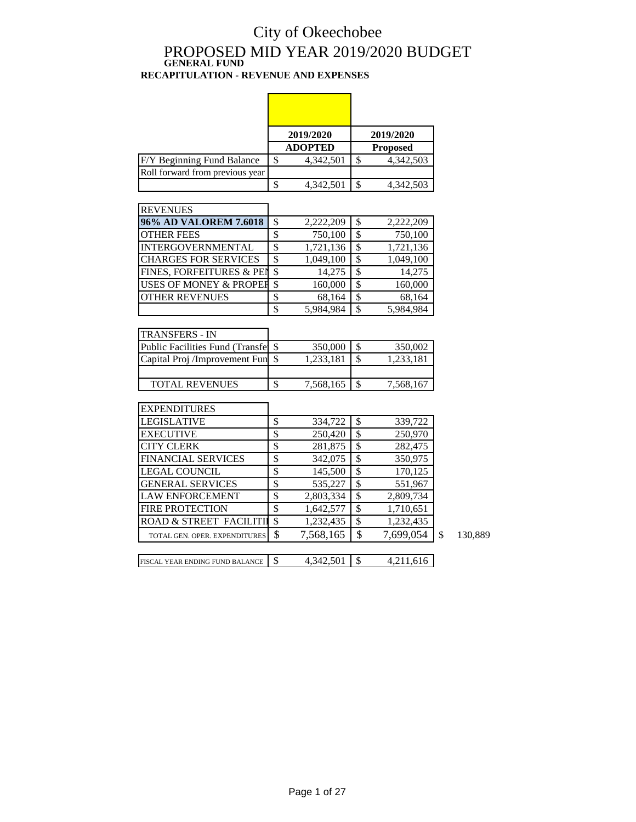## City of Okeechobee PROPOSED MID YEAR 2019/2020 BUDGET **GENERAL FUND**

#### **RECAPITULATION - REVENUE AND EXPENSES**

|                                         |                          | 2019/2020      |                          | 2019/2020       |               |
|-----------------------------------------|--------------------------|----------------|--------------------------|-----------------|---------------|
|                                         |                          | <b>ADOPTED</b> |                          | <b>Proposed</b> |               |
| F/Y Beginning Fund Balance              | \$                       | 4,342,501      | $\mathsf{\$}$            | 4,342,503       |               |
| Roll forward from previous year         |                          |                |                          |                 |               |
|                                         | $\overline{\mathcal{S}}$ | 4,342,501      | $\overline{\mathcal{S}}$ | 4,342,503       |               |
|                                         |                          |                |                          |                 |               |
| <b>REVENUES</b>                         |                          |                |                          |                 |               |
| 96% AD VALOREM 7.6018                   | \$                       | 2,222,209      | \$                       | 2,222,209       |               |
| <b>OTHER FEES</b>                       | \$                       | 750,100        | $\overline{\mathcal{S}}$ | 750,100         |               |
| INTERGOVERNMENTAL                       | $\overline{\mathcal{S}}$ | 1,721,136      | $\overline{\$}$          | 1,721,136       |               |
| <b>CHARGES FOR SERVICES</b>             | $\overline{\mathcal{S}}$ | 1,049,100      | $\overline{\mathcal{S}}$ | 1,049,100       |               |
| FINES, FORFEITURES & PEN                | \$                       | 14,275         | \$                       | 14,275          |               |
| USES OF MONEY & PROPER                  | $\overline{\mathcal{S}}$ | 160,000        | $\overline{\$}$          | 160,000         |               |
| <b>OTHER REVENUES</b>                   | \$                       | 68,164         | $\overline{\mathcal{S}}$ | 68,164          |               |
|                                         | $\overline{\mathcal{S}}$ | 5,984,984      | \$                       | 5,984,984       |               |
|                                         |                          |                |                          |                 |               |
| <b>TRANSFERS - IN</b>                   |                          |                |                          |                 |               |
| <b>Public Facilities Fund (Transfer</b> | \$                       | 350,000        | \$                       | 350,002         |               |
| Capital Proj /Improvement Fun           | $\overline{\mathcal{S}}$ | 1,233,181      | $\overline{\mathcal{S}}$ | 1,233,181       |               |
|                                         |                          |                |                          |                 |               |
| <b>TOTAL REVENUES</b>                   | \$                       | 7,568,165      | \$                       | 7,568,167       |               |
|                                         |                          |                |                          |                 |               |
| <b>EXPENDITURES</b>                     |                          |                |                          |                 |               |
| <b>LEGISLATIVE</b>                      | \$                       | 334,722        | \$                       | 339,722         |               |
| <b>EXECUTIVE</b>                        | $\overline{\$}$          | 250,420        | $\overline{\$}$          | 250,970         |               |
| <b>CITY CLERK</b>                       | $\overline{\mathcal{S}}$ | 281,875        | $\overline{\mathbb{S}}$  | 282,475         |               |
| <b>FINANCIAL SERVICES</b>               | \$                       | 342,075        | $\overline{\mathcal{S}}$ | 350,975         |               |
| <b>LEGAL COUNCIL</b>                    | $\overline{\$}$          | 145,500        | $\overline{\$}$          | 170,125         |               |
| <b>GENERAL SERVICES</b>                 | \$                       | 535,227        | $\overline{\mathcal{S}}$ | 551,967         |               |
| <b>LAW ENFORCEMENT</b>                  | \$                       | 2,803,334      | $\overline{\mathcal{S}}$ | 2,809,734       |               |
| <b>FIRE PROTECTION</b>                  | \$                       | 1,642,577      | $\overline{\$}$          | 1,710,651       |               |
| ROAD & STREET FACILITII                 | \$                       | 1,232,435      | $\overline{\mathcal{S}}$ | 1,232,435       |               |
| TOTAL GEN. OPER. EXPENDITURES           | \$                       | 7,568,165      | \$                       | 7,699,054       | \$<br>130,889 |
| FISCAL YEAR ENDING FUND BALANCE         | \$                       | 4,342,501      | \$                       | 4,211,616       |               |
|                                         |                          |                |                          |                 |               |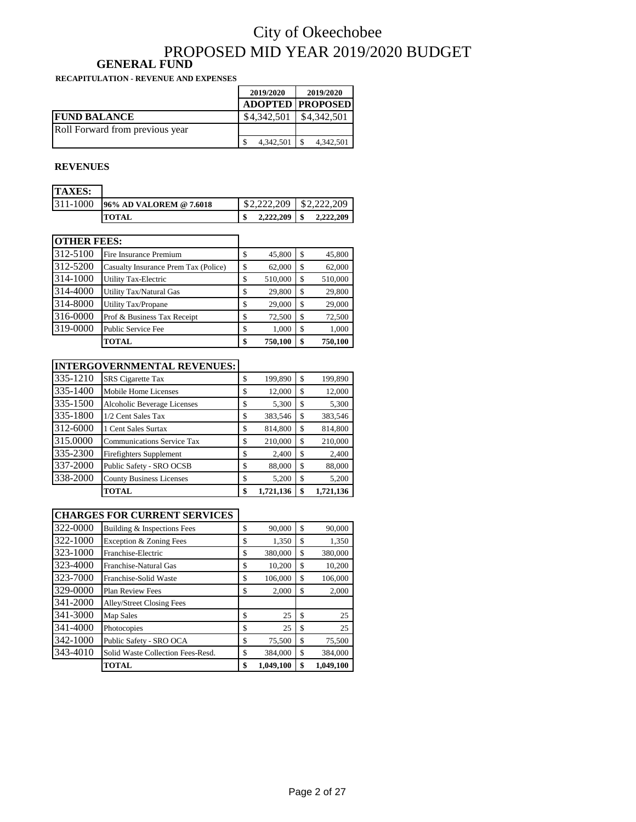### City of Okeechobee PROPOSED MID YEAR 2019/2020 BUDGET **GENERAL FUND**

**RECAPITULATION - REVENUE AND EXPENSES**

|                                 | 2019/2020   | 2019/2020               |
|---------------------------------|-------------|-------------------------|
|                                 |             | <b>ADOPTED PROPOSED</b> |
| <b>FUND BALANCE</b>             | \$4,342,501 | \$4,342,501             |
| Roll Forward from previous year |             |                         |
|                                 | 4,342,501   | 4,342,501               |

#### **REVENUES**

| <b>TAXES:</b> |                         |           |             |
|---------------|-------------------------|-----------|-------------|
| 311-1000      | 96% AD VALOREM @ 7.6018 | \$222209  | \$2,222,209 |
|               | <b>TOTAL</b>            | 2,222,209 | 2,222,209   |

| <b>OTHER FEES:</b> |                                      |    |         |     |         |
|--------------------|--------------------------------------|----|---------|-----|---------|
| 312-5100           | Fire Insurance Premium               | \$ | 45,800  | S   | 45,800  |
| 312-5200           | Casualty Insurance Prem Tax (Police) | S  | 62,000  | S   | 62,000  |
| 314-1000           | <b>Utility Tax-Electric</b>          | \$ | 510,000 | S   | 510,000 |
| 314-4000           | Utility Tax/Natural Gas              | S  | 29,800  | S   | 29,800  |
| 314-8000           | Utility Tax/Propane                  | \$ | 29,000  | \$. | 29,000  |
| 316-0000           | Prof & Business Tax Receipt          | \$ | 72,500  | S   | 72,500  |
| 319-0000           | Public Service Fee                   | \$ | 1,000   | S   | 1,000   |
|                    | TOTAL                                | \$ | 750,100 | \$  | 750,100 |

#### **INTERGOVERNMENTAL REVENUES:**

| 335-1210 | <b>SRS</b> Cigarette Tax          | \$ | 199,890   | \$  | 199,890   |
|----------|-----------------------------------|----|-----------|-----|-----------|
| 335-1400 | Mobile Home Licenses              | \$ | 12,000    | S   | 12,000    |
| 335-1500 | Alcoholic Beverage Licenses       | \$ | 5,300     | S   | 5,300     |
| 335-1800 | 1/2 Cent Sales Tax                | \$ | 383,546   | \$. | 383,546   |
| 312-6000 | 1 Cent Sales Surtax               | \$ | 814,800   | S   | 814,800   |
| 315.0000 | <b>Communications Service Tax</b> | S  | 210,000   | S   | 210,000   |
| 335-2300 | Firefighters Supplement           | \$ | 2,400     | \$  | 2,400     |
| 337-2000 | Public Safety - SRO OCSB          | \$ | 88,000    | S   | 88,000    |
| 338-2000 | <b>County Business Licenses</b>   | \$ | 5,200     | \$  | 5,200     |
|          | TOTAL                             | \$ | 1,721,136 | S   | 1.721.136 |

#### **CHARGES FOR CURRENT SERVICES**

| 343-4010 | Solid Waste Collection Fees-Resd.<br><b>TOTAL</b> | \$<br>\$ | 384,000<br>1,049,100 | \$<br>\$ | 384,000<br>1.049.100 |
|----------|---------------------------------------------------|----------|----------------------|----------|----------------------|
| 342-1000 | Public Safety - SRO OCA                           | \$       | 75,500               | \$       | 75,500               |
| 341-4000 | Photocopies                                       | \$       | 25                   | \$       | 25                   |
| 341-3000 | Map Sales                                         | \$       | 25                   | \$       | 25                   |
| 341-2000 | Alley/Street Closing Fees                         |          |                      |          |                      |
| 329-0000 | <b>Plan Review Fees</b>                           | \$       | 2,000                | \$       | 2,000                |
| 323-7000 | Franchise-Solid Waste                             | \$       | 106,000              | \$       | 106,000              |
| 323-4000 | Franchise-Natural Gas                             | \$       | 10,200               | \$       | 10,200               |
| 323-1000 | Franchise-Electric                                | \$       | 380,000              | \$       | 380,000              |
| 322-1000 | Exception & Zoning Fees                           | \$       | 1,350                | \$       | 1,350                |
| 322-0000 | Building & Inspections Fees                       | \$       | 90,000               | \$       | 90,000               |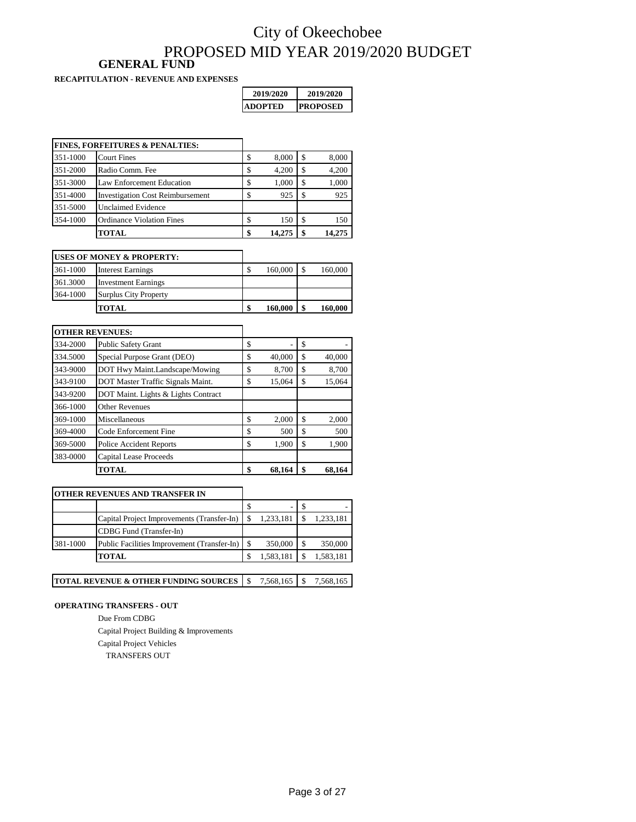### City of Okeechobee PROPOSED MID YEAR 2019/2020 BUDGET **GENERAL FUND**

**RECAPITULATION - REVENUE AND EXPENSES**

| 2019/2020 | 2019/2020        |
|-----------|------------------|
| IADOPTED  | <b>IPROPOSED</b> |

|          | <b>FINES, FORFEITURES &amp; PENALTIES:</b> |              |    |        |
|----------|--------------------------------------------|--------------|----|--------|
| 351-1000 | <b>Court Fines</b>                         | \$<br>8,000  | S  | 8,000  |
| 351-2000 | Radio Comm. Fee                            | \$<br>4.200  | \$ | 4,200  |
| 351-3000 | Law Enforcement Education                  | \$<br>1,000  | \$ | 1,000  |
| 351-4000 | <b>Investigation Cost Reimbursement</b>    | \$<br>925    | S  | 925    |
| 351-5000 | <b>Unclaimed Evidence</b>                  |              |    |        |
| 354-1000 | <b>Ordinance Violation Fines</b>           | \$<br>150    | \$ | 150    |
|          | TOTAL                                      | \$<br>14.275 |    | 14.275 |

|          | <b>USES OF MONEY &amp; PROPERTY:</b> |    |         |         |
|----------|--------------------------------------|----|---------|---------|
| 361-1000 | <b>Interest Earnings</b>             | J. | 160,000 | 160,000 |
| 361.3000 | <b>Investment Earnings</b>           |    |         |         |
| 364-1000 | <b>Surplus City Property</b>         |    |         |         |
|          | <b>TOTAL</b>                         |    | 160,000 | 160,000 |

|          | <b>OTHER REVENUES:</b>              |              |              |
|----------|-------------------------------------|--------------|--------------|
| 334-2000 | <b>Public Safety Grant</b>          | \$           | \$           |
| 334.5000 | Special Purpose Grant (DEO)         | \$<br>40,000 | \$<br>40,000 |
| 343-9000 | DOT Hwy Maint.Landscape/Mowing      | \$<br>8,700  | \$<br>8,700  |
| 343-9100 | DOT Master Traffic Signals Maint.   | \$<br>15,064 | \$<br>15.064 |
| 343-9200 | DOT Maint. Lights & Lights Contract |              |              |
| 366-1000 | <b>Other Revenues</b>               |              |              |
| 369-1000 | Miscellaneous                       | \$<br>2,000  | \$<br>2,000  |
| 369-4000 | Code Enforcement Fine               | \$<br>500    | \$<br>500    |
| 369-5000 | <b>Police Accident Reports</b>      | \$<br>1,900  | \$<br>1,900  |
| 383-0000 | <b>Capital Lease Proceeds</b>       |              |              |
|          | <b>TOTAL</b>                        | \$<br>68.164 | 68.164       |

#### **OTHER REVENUES AND TRANSFER IN**

|          | Capital Project Improvements (Transfer-In)  | 1,233,181 | 1,233,181 |
|----------|---------------------------------------------|-----------|-----------|
|          | CDBG Fund (Transfer-In)                     |           |           |
| 381-1000 | Public Facilities Improvement (Transfer-In) | 350,000   | 350,000   |
|          | <b>TOTAL</b>                                | 1,583,181 | 1,583,181 |
|          |                                             |           |           |

٦

|  | <b>TOTAL REVENUE &amp; OTHER FUNDING SOURCES</b> $\mid$ \$ 7.568,165 $\mid$ \$ |  |  |  | 7,568,165 |
|--|--------------------------------------------------------------------------------|--|--|--|-----------|
|--|--------------------------------------------------------------------------------|--|--|--|-----------|

#### **OPERATING TRANSFERS - OUT**

Due From CDBG Capital Project Building & Improvements Capital Project Vehicles TRANSFERS OUT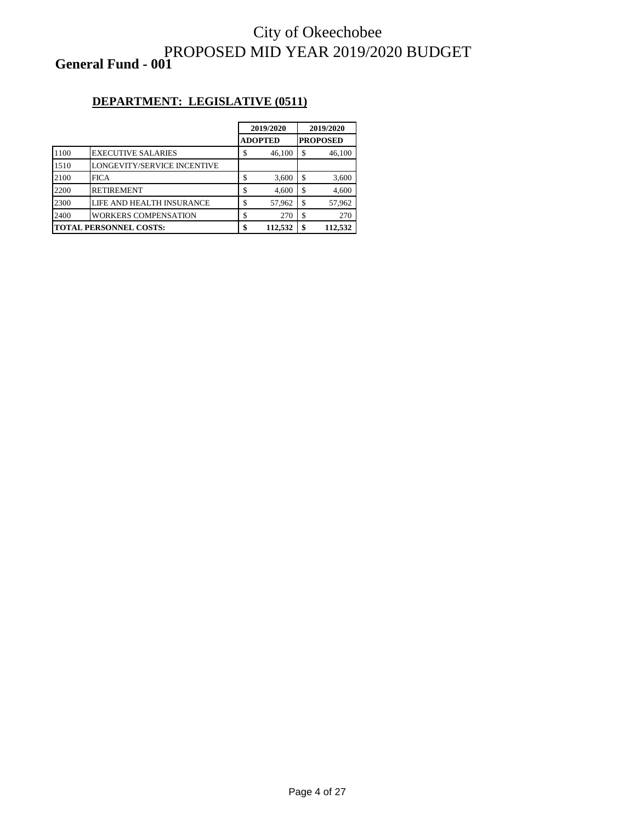### City of Okeechobee PROPOSED MID YEAR 2019/2020 BUDGET **General Fund - 001**

### **DEPARTMENT: LEGISLATIVE (0511)**

|      |                               |   | 2019/2020      |    | 2019/2020       |
|------|-------------------------------|---|----------------|----|-----------------|
|      |                               |   | <b>ADOPTED</b> |    | <b>PROPOSED</b> |
| 1100 | <b>EXECUTIVE SALARIES</b>     | J | 46,100         | \$ | 46,100          |
| 1510 | LONGEVITY/SERVICE INCENTIVE   |   |                |    |                 |
| 2100 | <b>FICA</b>                   |   | 3,600          | S  | 3,600           |
| 2200 | <b>RETIREMENT</b>             |   | 4,600          | \$ | 4,600           |
| 2300 | LIFE AND HEALTH INSURANCE     |   | 57,962         | S  | 57,962          |
| 2400 | <b>WORKERS COMPENSATION</b>   |   | 270            | \$ | 270             |
|      | <b>TOTAL PERSONNEL COSTS:</b> |   | 112,532        | \$ | 112.532         |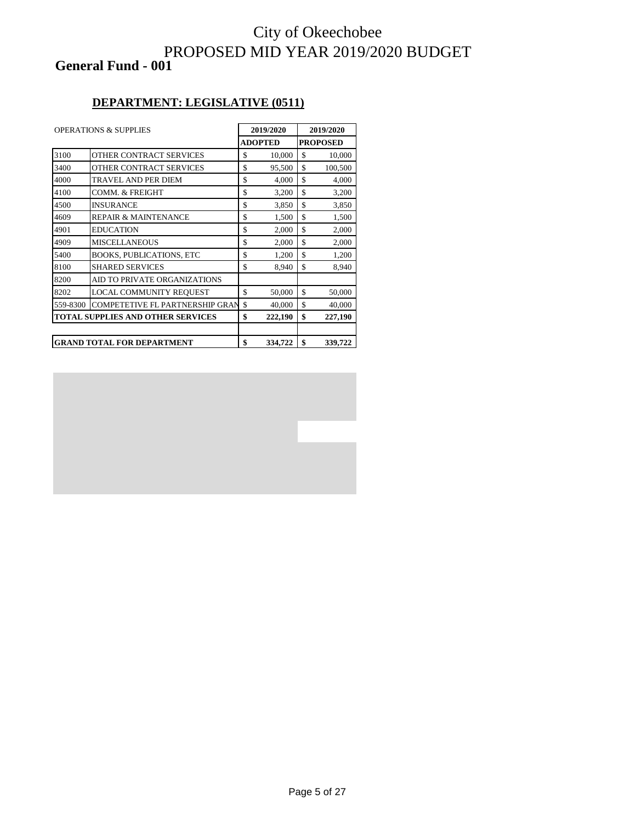### City of Okeechobee PROPOSED MID YEAR 2019/2020 BUDGET **General Fund - 001**

#### **DEPARTMENT: LEGISLATIVE (0511)**

| <b>OPERATIONS &amp; SUPPLIES</b> |                                          | 2019/2020 |                 | 2019/2020 |         |
|----------------------------------|------------------------------------------|-----------|-----------------|-----------|---------|
|                                  | <b>ADOPTED</b>                           |           | <b>PROPOSED</b> |           |         |
| 3100                             | OTHER CONTRACT SERVICES                  | \$        | 10,000          | \$        | 10,000  |
| 3400                             | OTHER CONTRACT SERVICES                  | \$        | 95,500          | \$        | 100,500 |
| 4000                             | <b>TRAVEL AND PER DIEM</b>               | \$        | 4,000           | \$        | 4,000   |
| 4100                             | <b>COMM. &amp; FREIGHT</b>               | \$        | 3,200           | \$        | 3,200   |
| 4500                             | <b>INSURANCE</b>                         | \$        | 3,850           | \$        | 3,850   |
| 4609                             | <b>REPAIR &amp; MAINTENANCE</b>          | \$        | 1,500           | \$        | 1,500   |
| 4901                             | <b>EDUCATION</b>                         | \$        | 2,000           | \$        | 2,000   |
| 4909                             | <b>MISCELLANEOUS</b>                     | \$        | 2,000           | \$        | 2,000   |
| 5400                             | <b>BOOKS, PUBLICATIONS, ETC</b>          | \$        | 1,200           | \$        | 1,200   |
| 8100                             | <b>SHARED SERVICES</b>                   | \$        | 8,940           | \$        | 8,940   |
| 8200                             | AID TO PRIVATE ORGANIZATIONS             |           |                 |           |         |
| 8202                             | LOCAL COMMUNITY REQUEST                  | \$        | 50,000          | \$        | 50,000  |
| 559-8300                         | <b>COMPETETIVE FL PARTNERSHIP GRAN</b>   | \$        | 40,000          | \$        | 40,000  |
|                                  | <b>TOTAL SUPPLIES AND OTHER SERVICES</b> | \$        | 222,190         | \$        | 227,190 |
|                                  |                                          |           |                 |           |         |
|                                  | <b>GRAND TOTAL FOR DEPARTMENT</b><br>\$  |           | 334,722         | \$        | 339,722 |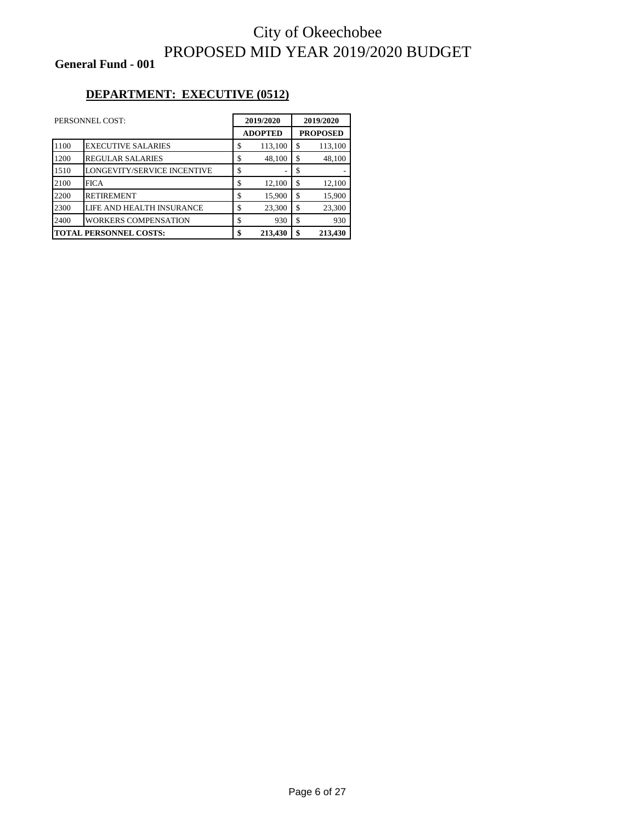**General Fund - 001**

### **DEPARTMENT: EXECUTIVE (0512)**

|                               | PERSONNEL COST:             | 2019/2020 |                | 2019/2020 |         |  |                 |
|-------------------------------|-----------------------------|-----------|----------------|-----------|---------|--|-----------------|
|                               |                             |           | <b>ADOPTED</b> |           |         |  | <b>PROPOSED</b> |
| 1100                          | <b>EXECUTIVE SALARIES</b>   | \$        | 113,100        | \$        | 113,100 |  |                 |
| 1200                          | <b>REGULAR SALARIES</b>     | \$        | 48,100         | \$.       | 48,100  |  |                 |
| 1510                          | LONGEVITY/SERVICE INCENTIVE | \$        |                | \$        |         |  |                 |
| 2100                          | <b>FICA</b>                 | \$        | 12,100         | \$        | 12,100  |  |                 |
| 2200                          | <b>RETIREMENT</b>           | \$        | 15,900         | \$.       | 15,900  |  |                 |
| 2300                          | LIFE AND HEALTH INSURANCE   | \$        | 23,300         | \$        | 23,300  |  |                 |
| 2400                          | <b>WORKERS COMPENSATION</b> | \$        | 930            | \$        | 930     |  |                 |
| <b>TOTAL PERSONNEL COSTS:</b> |                             | \$        | 213,430        | \$        | 213,430 |  |                 |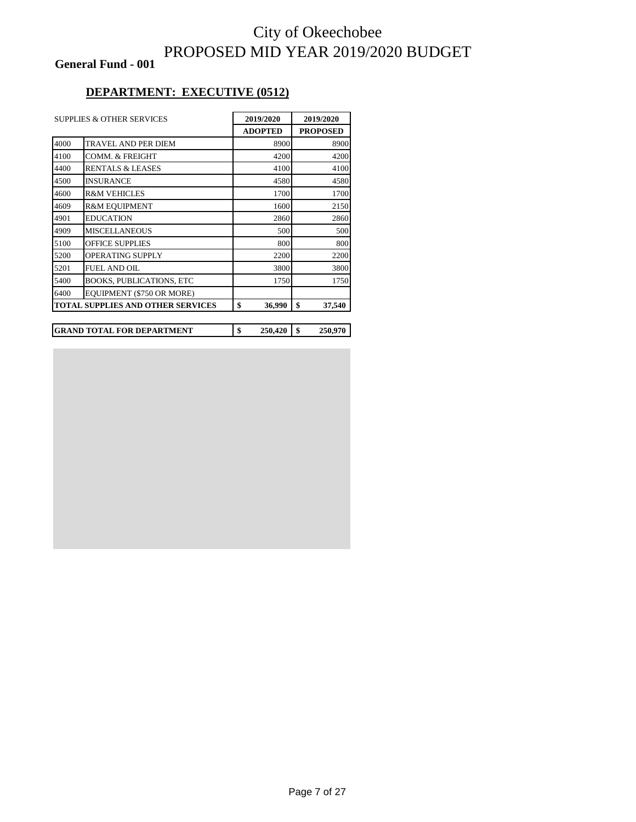**General Fund - 001**

#### **DEPARTMENT: EXECUTIVE (0512)**

|      | <b>SUPPLIES &amp; OTHER SERVICES</b>     | 2019/2020 |                |    | 2019/2020       |
|------|------------------------------------------|-----------|----------------|----|-----------------|
|      |                                          |           | <b>ADOPTED</b> |    | <b>PROPOSED</b> |
| 4000 | TRAVEL AND PER DIEM                      |           | 8900           |    | 8900            |
| 4100 | <b>COMM. &amp; FREIGHT</b>               |           | 4200           |    | 4200            |
| 4400 | <b>RENTALS &amp; LEASES</b>              |           | 4100           |    | 4100            |
| 4500 | <b>INSURANCE</b>                         |           | 4580           |    | 4580            |
| 4600 | <b>R&amp;M VEHICLES</b>                  |           | 1700           |    | 1700            |
| 4609 | <b>R&amp;M EQUIPMENT</b>                 |           | 1600           |    | 2150            |
| 4901 | <b>EDUCATION</b>                         |           | 2860           |    | 2860            |
| 4909 | <b>MISCELLANEOUS</b>                     |           | 500            |    | 500             |
| 5100 | OFFICE SUPPLIES                          |           | 800            |    | 800             |
| 5200 | <b>OPERATING SUPPLY</b>                  |           | 2200           |    | 2200            |
| 5201 | <b>FUEL AND OIL</b>                      |           | 3800           |    | 3800            |
| 5400 | <b>BOOKS, PUBLICATIONS, ETC</b>          |           | 1750           |    | 1750            |
| 6400 | EQUIPMENT (\$750 OR MORE)                |           |                |    |                 |
|      | <b>TOTAL SUPPLIES AND OTHER SERVICES</b> | \$        | 36,990         | \$ | 37,540          |
|      |                                          |           |                |    |                 |
|      | <b>GRAND TOTAL FOR DEPARTMENT</b>        | \$        | 250,420        | \$ | 250,970         |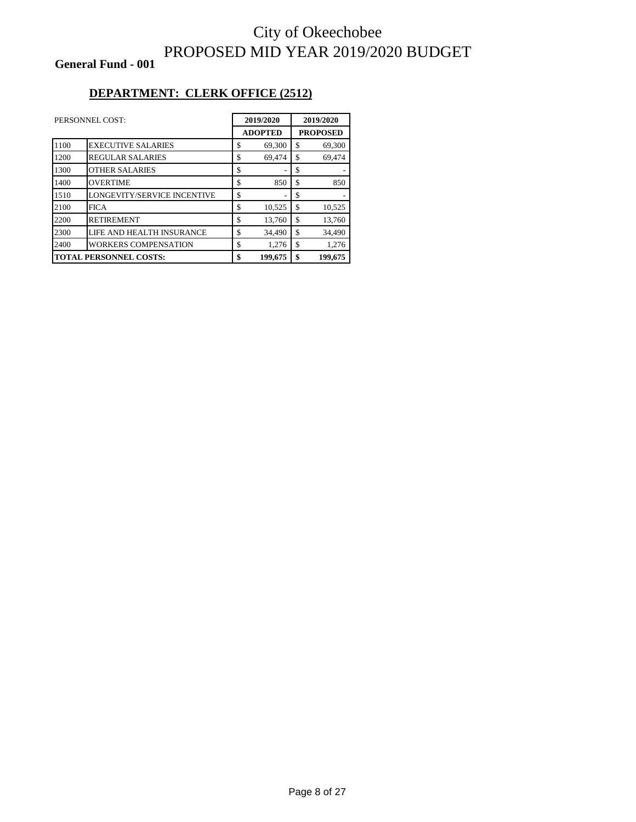**General Fund - 001**

### **DEPARTMENT: CLERK OFFICE (2512)**

| PERSONNEL COST:               |                             | 2019/2020      |                 | 2019/2020 |
|-------------------------------|-----------------------------|----------------|-----------------|-----------|
|                               |                             | <b>ADOPTED</b> | <b>PROPOSED</b> |           |
| 1100                          | <b>EXECUTIVE SALARIES</b>   | \$<br>69,300   | \$              | 69,300    |
| 1200                          | <b>REGULAR SALARIES</b>     | \$<br>69,474   | \$              | 69,474    |
| 1300                          | <b>OTHER SALARIES</b>       | \$             | \$              |           |
| 1400                          | <b>OVERTIME</b>             | \$<br>850      | \$              | 850       |
| 1510                          | LONGEVITY/SERVICE INCENTIVE | \$             | \$              |           |
| 2100                          | <b>FICA</b>                 | \$<br>10,525   | \$              | 10,525    |
| 2200                          | <b>RETIREMENT</b>           | \$<br>13,760   | \$              | 13,760    |
| 2300                          | LIFE AND HEALTH INSURANCE   | \$<br>34.490   | \$              | 34.490    |
| 2400                          | <b>WORKERS COMPENSATION</b> | \$<br>1,276    | \$              | 1,276     |
| <b>TOTAL PERSONNEL COSTS:</b> |                             | \$<br>199,675  | \$              | 199,675   |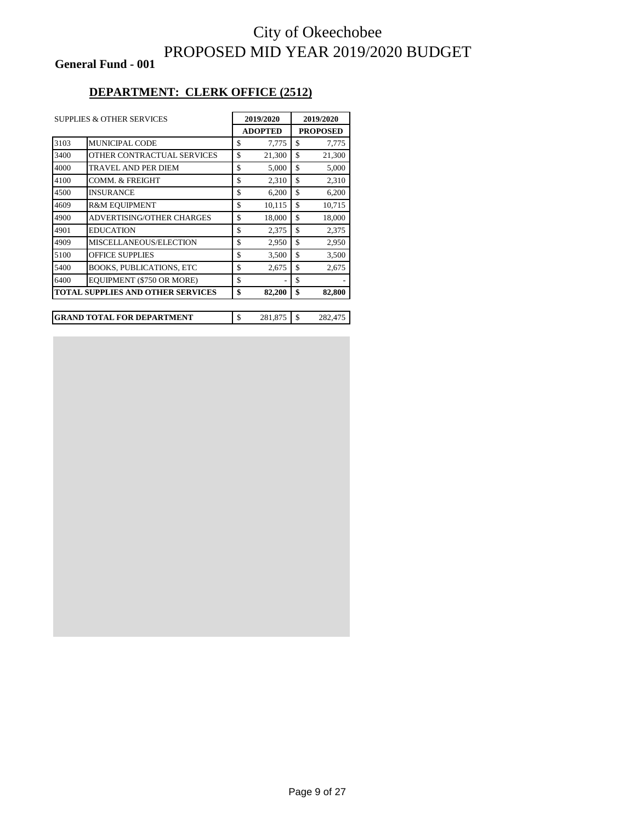**General Fund - 001**

#### **DEPARTMENT: CLERK OFFICE (2512)**

| <b>SUPPLIES &amp; OTHER SERVICES</b>     |                                 |                | 2019/2020 |    | 2019/2020       |  |
|------------------------------------------|---------------------------------|----------------|-----------|----|-----------------|--|
|                                          |                                 | <b>ADOPTED</b> |           |    | <b>PROPOSED</b> |  |
| 3103                                     | <b>MUNICIPAL CODE</b>           | \$             | 7,775     | \$ | 7,775           |  |
| 3400                                     | OTHER CONTRACTUAL SERVICES      | \$             | 21,300    | \$ | 21,300          |  |
| 4000                                     | <b>TRAVEL AND PER DIEM</b>      | \$             | 5,000     | \$ | 5,000           |  |
| 4100                                     | <b>COMM. &amp; FREIGHT</b>      | \$             | 2,310     | \$ | 2,310           |  |
| 4500                                     | <b>INSURANCE</b>                | \$             | 6,200     | \$ | 6,200           |  |
| 4609                                     | <b>R&amp;M EQUIPMENT</b>        | \$             | 10,115    | \$ | 10,715          |  |
| 4900                                     | ADVERTISING/OTHER CHARGES       | \$             | 18,000    | \$ | 18,000          |  |
| 4901                                     | <b>EDUCATION</b>                | \$             | 2,375     | \$ | 2,375           |  |
| 4909                                     | MISCELLANEOUS/ELECTION          | \$             | 2,950     | \$ | 2,950           |  |
| 5100                                     | <b>OFFICE SUPPLIES</b>          | \$             | 3,500     | \$ | 3,500           |  |
| 5400                                     | <b>BOOKS, PUBLICATIONS, ETC</b> | \$             | 2,675     | \$ | 2,675           |  |
| 6400                                     | EQUIPMENT (\$750 OR MORE)       | \$             |           | \$ |                 |  |
| <b>TOTAL SUPPLIES AND OTHER SERVICES</b> |                                 | \$             | 82,200    | \$ | 82,800          |  |

| <b>GRAND TOTAL FOR DEPARTMENT</b> | 281.875 | 282.475 |
|-----------------------------------|---------|---------|
|                                   |         |         |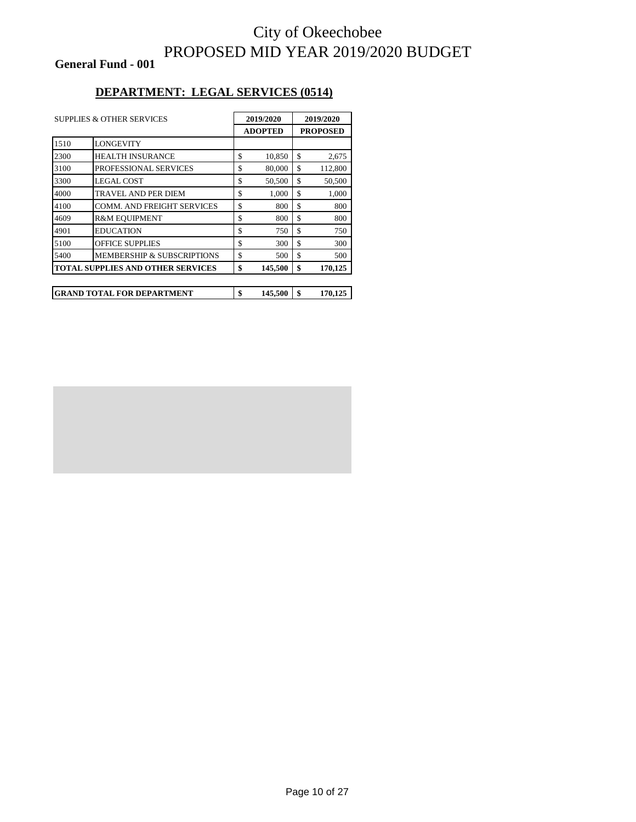**General Fund - 001**

#### **DEPARTMENT: LEGAL SERVICES (0514)**

| <b>SUPPLIES &amp; OTHER SERVICES</b> |                                          | 2019/2020 |                | 2019/2020       |         |
|--------------------------------------|------------------------------------------|-----------|----------------|-----------------|---------|
|                                      |                                          |           | <b>ADOPTED</b> | <b>PROPOSED</b> |         |
| 1510                                 | <b>LONGEVITY</b>                         |           |                |                 |         |
| 2300                                 | HEALTH INSURANCE                         | \$        | 10,850         | \$              | 2,675   |
| 3100                                 | PROFESSIONAL SERVICES                    | \$        | 80,000         | \$              | 112,800 |
| 3300                                 | <b>LEGAL COST</b>                        | \$        | 50,500         | \$              | 50,500  |
| 4000                                 | TRAVEL AND PER DIEM                      | \$        | 1,000          | \$              | 1,000   |
| 4100                                 | <b>COMM. AND FREIGHT SERVICES</b>        | \$        | 800            | \$              | 800     |
| 4609                                 | <b>R&amp;M EQUIPMENT</b>                 | \$        | 800            | \$              | 800     |
| 4901                                 | <b>EDUCATION</b>                         | \$        | 750            | \$              | 750     |
| 5100                                 | <b>OFFICE SUPPLIES</b>                   | \$        | 300            | \$              | 300     |
| 5400                                 | <b>MEMBERSHIP &amp; SUBSCRIPTIONS</b>    | \$        | 500            | \$              | 500     |
|                                      | <b>TOTAL SUPPLIES AND OTHER SERVICES</b> | \$        | 145,500        | \$              | 170,125 |
|                                      |                                          |           |                |                 |         |
|                                      | <b>GRAND TOTAL FOR DEPARTMENT</b>        | \$        | 145,500        | \$              | 170,125 |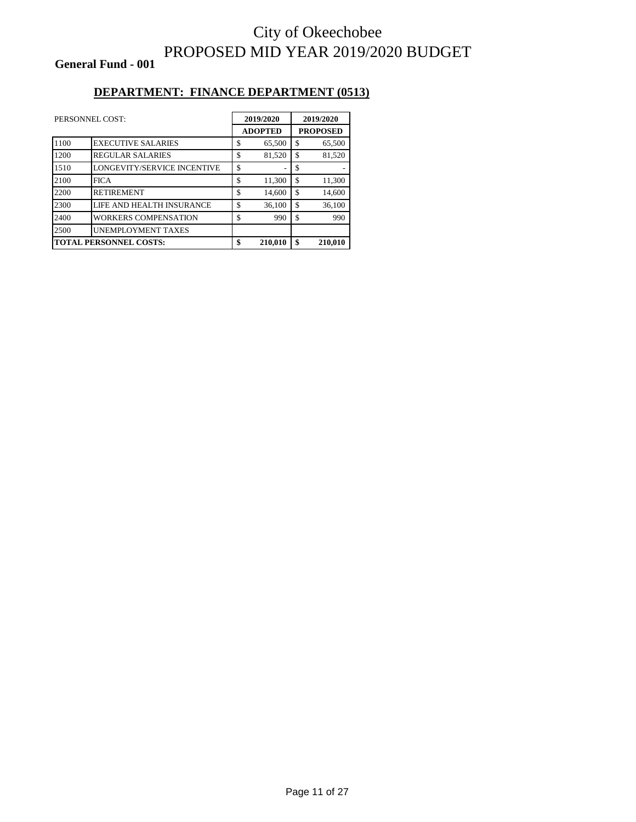**General Fund - 001**

#### **DEPARTMENT: FINANCE DEPARTMENT (0513)**

| PERSONNEL COST:               |                             | 2019/2020      |    | 2019/2020       |  |
|-------------------------------|-----------------------------|----------------|----|-----------------|--|
|                               |                             | <b>ADOPTED</b> |    | <b>PROPOSED</b> |  |
| 1100                          | <b>EXECUTIVE SALARIES</b>   | \$<br>65,500   | \$ | 65,500          |  |
| 1200                          | <b>REGULAR SALARIES</b>     | \$<br>81,520   | \$ | 81,520          |  |
| 1510                          | LONGEVITY/SERVICE INCENTIVE | \$             | \$ |                 |  |
| 2100                          | <b>FICA</b>                 | \$<br>11,300   | \$ | 11,300          |  |
| 2200                          | <b>RETIREMENT</b>           | \$<br>14,600   | \$ | 14,600          |  |
| 2300                          | LIFE AND HEALTH INSURANCE   | \$<br>36,100   | \$ | 36,100          |  |
| 2400                          | WORKERS COMPENSATION        | \$<br>990      | \$ | 990             |  |
| 2500                          | UNEMPLOYMENT TAXES          |                |    |                 |  |
| <b>TOTAL PERSONNEL COSTS:</b> |                             | \$<br>210,010  | \$ | 210,010         |  |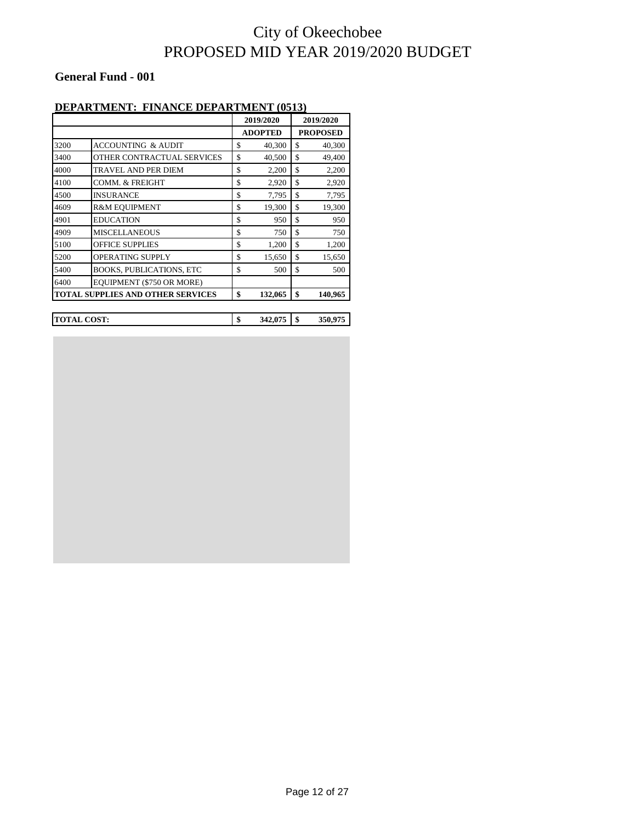#### **General Fund - 001**

#### **DEPARTMENT: FINANCE DEPARTMENT (0513)**

|      |                                          | 2019/2020 |                | 2019/2020 |                 |
|------|------------------------------------------|-----------|----------------|-----------|-----------------|
|      |                                          |           | <b>ADOPTED</b> |           | <b>PROPOSED</b> |
| 3200 | ACCOUNTING & AUDIT                       | \$        | 40,300         | \$        | 40,300          |
| 3400 | OTHER CONTRACTUAL SERVICES               | \$        | 40,500         | \$        | 49,400          |
| 4000 | <b>TRAVEL AND PER DIEM</b>               | \$        | 2,200          | \$        | 2,200           |
| 4100 | COMM. & FREIGHT                          | \$        | 2,920          | \$        | 2,920           |
| 4500 | <b>INSURANCE</b>                         | \$        | 7,795          | \$        | 7,795           |
| 4609 | <b>R&amp;M EQUIPMENT</b>                 | \$        | 19,300         | \$        | 19,300          |
| 4901 | EDUCATION                                | \$        | 950            | \$.       | 950             |
| 4909 | <b>MISCELLANEOUS</b>                     | \$        | 750            | \$        | 750             |
| 5100 | <b>OFFICE SUPPLIES</b>                   | \$        | 1,200          | \$        | 1,200           |
| 5200 | OPERATING SUPPLY                         | \$        | 15,650         | \$        | 15,650          |
| 5400 | BOOKS, PUBLICATIONS, ETC                 | \$        | 500            | \$        | 500             |
| 6400 | EQUIPMENT (\$750 OR MORE)                |           |                |           |                 |
|      | <b>TOTAL SUPPLIES AND OTHER SERVICES</b> | \$        | 132,065        | \$        | 140,965         |

**TOTAL COST: \$ 342,075 \$ 350,975**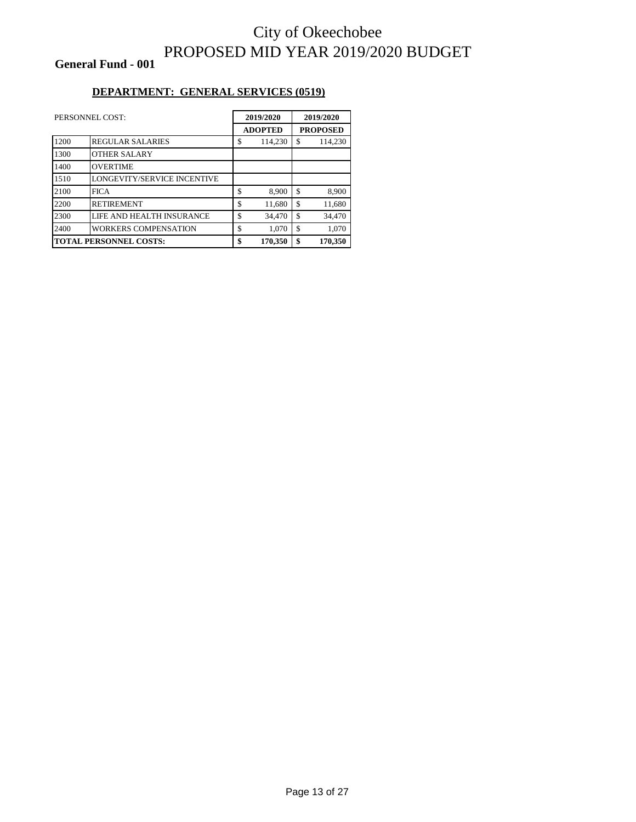**General Fund - 001**

#### **DEPARTMENT: GENERAL SERVICES (0519)**

| PERSONNEL COST:               |                             | 2019/2020      |                 | 2019/2020 |  |
|-------------------------------|-----------------------------|----------------|-----------------|-----------|--|
|                               |                             | <b>ADOPTED</b> | <b>PROPOSED</b> |           |  |
| 1200                          | <b>REGULAR SALARIES</b>     | \$<br>114.230  | \$              | 114,230   |  |
| 1300                          | <b>OTHER SALARY</b>         |                |                 |           |  |
| 1400                          | <b>OVERTIME</b>             |                |                 |           |  |
| 1510                          | LONGEVITY/SERVICE INCENTIVE |                |                 |           |  |
| 2100                          | <b>FICA</b>                 | \$<br>8,900    | \$              | 8,900     |  |
| 2200                          | <b>RETIREMENT</b>           | \$<br>11,680   | \$              | 11,680    |  |
| 2300                          | LIFE AND HEALTH INSURANCE   | \$<br>34,470   | \$              | 34,470    |  |
| 2400                          | WORKERS COMPENSATION        | \$<br>1,070    | \$              | 1.070     |  |
| <b>TOTAL PERSONNEL COSTS:</b> |                             | \$<br>170,350  | \$              | 170,350   |  |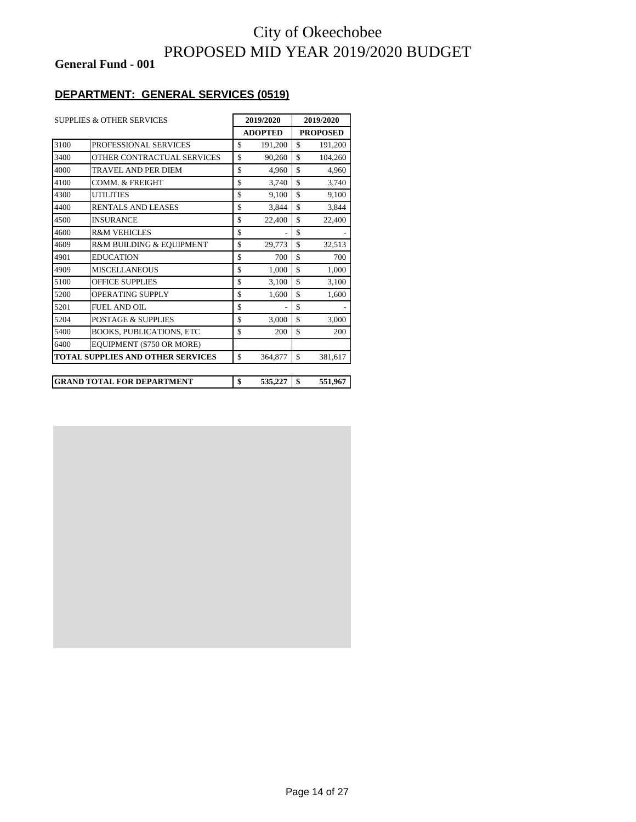**General Fund - 001**

### **DEPARTMENT: GENERAL SERVICES (0519)**

|      | <b>SUPPLIES &amp; OTHER SERVICES</b>     | 2019/2020      |                    | 2019/2020       |
|------|------------------------------------------|----------------|--------------------|-----------------|
|      |                                          | <b>ADOPTED</b> |                    | <b>PROPOSED</b> |
| 3100 | <b>PROFESSIONAL SERVICES</b>             | \$<br>191,200  | \$                 | 191,200         |
| 3400 | OTHER CONTRACTUAL SERVICES               | \$<br>90,260   | $\mathbb{S}$       | 104,260         |
| 4000 | TRAVEL AND PER DIEM                      | \$<br>4,960    | \$                 | 4,960           |
| 4100 | <b>COMM. &amp; FREIGHT</b>               | \$<br>3,740    | \$                 | 3,740           |
| 4300 | <b>UTILITIES</b>                         | \$<br>9,100    | $\mathbf{\hat{s}}$ | 9,100           |
| 4400 | RENTALS AND LEASES                       | \$<br>3,844    | \$                 | 3,844           |
| 4500 | <b>INSURANCE</b>                         | \$<br>22,400   | \$                 | 22,400          |
| 4600 | <b>R&amp;M VEHICLES</b>                  | \$             | \$                 |                 |
| 4609 | R&M BUILDING & EQUIPMENT                 | \$<br>29,773   | \$                 | 32,513          |
| 4901 | <b>EDUCATION</b>                         | \$<br>700      | \$                 | 700             |
| 4909 | <b>MISCELLANEOUS</b>                     | \$<br>1,000    | \$                 | 1,000           |
| 5100 | <b>OFFICE SUPPLIES</b>                   | \$<br>3,100    | $\mathcal{S}$      | 3,100           |
| 5200 | OPERATING SUPPLY                         | \$<br>1,600    | \$                 | 1,600           |
| 5201 | <b>FUEL AND OIL</b>                      | \$             | $\mathcal{S}$      |                 |
| 5204 | <b>POSTAGE &amp; SUPPLIES</b>            | \$<br>3,000    | \$                 | 3,000           |
| 5400 | <b>BOOKS, PUBLICATIONS, ETC</b>          | \$<br>200      | \$                 | 200             |
| 6400 | EQUIPMENT (\$750 OR MORE)                |                |                    |                 |
|      | <b>TOTAL SUPPLIES AND OTHER SERVICES</b> | \$<br>364,877  | \$                 | 381,617         |
|      |                                          |                |                    |                 |
|      | <b>GRAND TOTAL FOR DEPARTMENT</b>        | \$<br>535,227  | \$                 | 551,967         |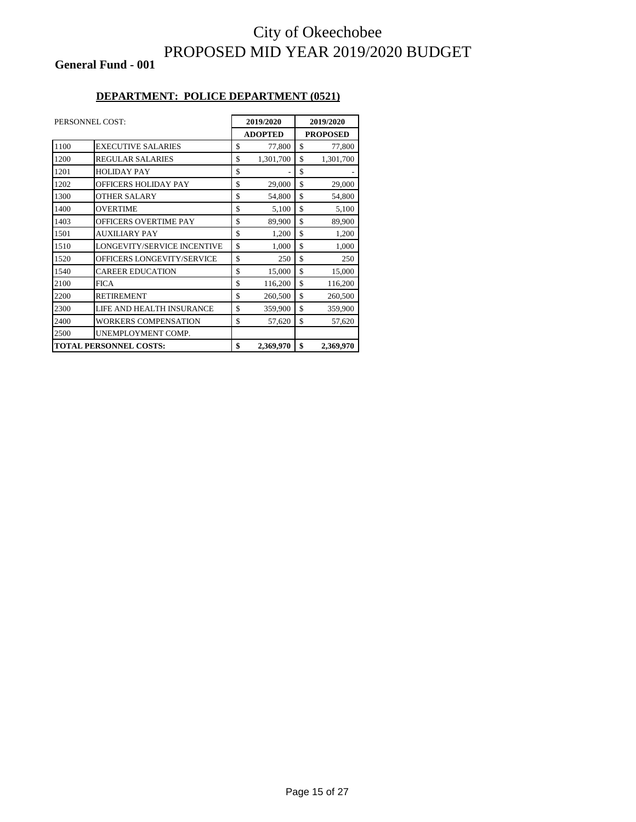#### **General Fund - 001**

#### **DEPARTMENT: POLICE DEPARTMENT (0521)**

|      | PERSONNEL COST:               | 2019/2020       | 2019/2020       |
|------|-------------------------------|-----------------|-----------------|
|      |                               | <b>ADOPTED</b>  | <b>PROPOSED</b> |
| 1100 | <b>EXECUTIVE SALARIES</b>     | \$<br>77,800    | \$<br>77,800    |
| 1200 | <b>REGULAR SALARIES</b>       | \$<br>1,301,700 | \$<br>1,301,700 |
| 1201 | <b>HOLIDAY PAY</b>            | \$              | \$              |
| 1202 | <b>OFFICERS HOLIDAY PAY</b>   | \$<br>29,000    | \$<br>29,000    |
| 1300 | <b>OTHER SALARY</b>           | \$<br>54,800    | \$<br>54,800    |
| 1400 | <b>OVERTIME</b>               | \$<br>5,100     | \$<br>5,100     |
| 1403 | <b>OFFICERS OVERTIME PAY</b>  | \$<br>89,900    | \$<br>89,900    |
| 1501 | <b>AUXILIARY PAY</b>          | \$<br>1,200     | \$<br>1,200     |
| 1510 | LONGEVITY/SERVICE INCENTIVE   | \$<br>1,000     | \$<br>1,000     |
| 1520 | OFFICERS LONGEVITY/SERVICE    | \$<br>250       | \$<br>250       |
| 1540 | <b>CAREER EDUCATION</b>       | \$<br>15,000    | \$<br>15,000    |
| 2100 | <b>FICA</b>                   | \$<br>116,200   | \$<br>116,200   |
| 2200 | <b>RETIREMENT</b>             | \$<br>260,500   | \$<br>260,500   |
| 2300 | LIFE AND HEALTH INSURANCE     | \$<br>359,900   | \$<br>359,900   |
| 2400 | <b>WORKERS COMPENSATION</b>   | \$<br>57,620    | \$<br>57,620    |
| 2500 | UNEMPLOYMENT COMP.            |                 |                 |
|      | <b>TOTAL PERSONNEL COSTS:</b> | \$<br>2,369,970 | \$<br>2,369,970 |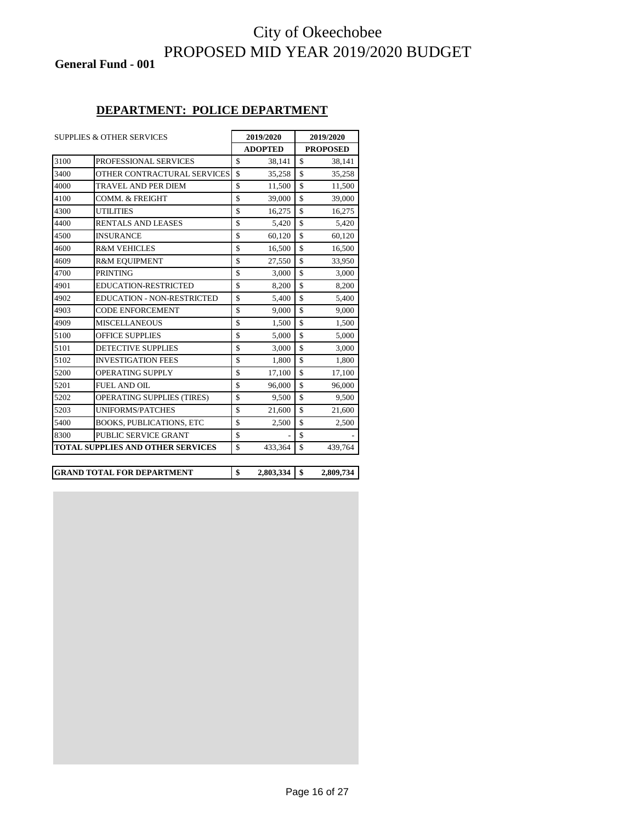**General Fund - 001**

#### **DEPARTMENT: POLICE DEPARTMENT**

|      | <b>SUPPLIES &amp; OTHER SERVICES</b> | 2019/2020          |                | 2019/2020          |                 |
|------|--------------------------------------|--------------------|----------------|--------------------|-----------------|
|      |                                      |                    | <b>ADOPTED</b> |                    | <b>PROPOSED</b> |
| 3100 | PROFESSIONAL SERVICES                | \$                 | 38,141         | \$                 | 38,141          |
| 3400 | OTHER CONTRACTURAL SERVICES          | $\mathbf S$        | 35,258         | \$                 | 35,258          |
| 4000 | <b>TRAVEL AND PER DIEM</b>           | $\mathbf S$        | 11,500         | \$                 | 11,500          |
| 4100 | <b>COMM. &amp; FREIGHT</b>           | $\mathbf S$        | 39,000         | \$                 | 39,000          |
| 4300 | <b>UTILITIES</b>                     | \$                 | 16,275         | \$                 | 16,275          |
| 4400 | RENTALS AND LEASES                   | \$                 | 5,420          | \$                 | 5,420           |
| 4500 | <b>INSURANCE</b>                     | \$                 | 60,120         | \$                 | 60,120          |
| 4600 | <b>R&amp;M VEHICLES</b>              | $\mathbf S$        | 16,500         | \$                 | 16,500          |
| 4609 | <b>R&amp;M EQUIPMENT</b>             | \$                 | 27,550         | $\mathbf S$        | 33,950          |
| 4700 | <b>PRINTING</b>                      | \$                 | 3,000          | $\mathbf S$        | 3,000           |
| 4901 | <b>EDUCATION-RESTRICTED</b>          | \$                 | 8,200          | \$                 | 8,200           |
| 4902 | <b>EDUCATION - NON-RESTRICTED</b>    | \$                 | 5,400          | \$                 | 5,400           |
| 4903 | <b>CODE ENFORCEMENT</b>              | \$                 | 9,000          | \$                 | 9,000           |
| 4909 | <b>MISCELLANEOUS</b>                 | \$                 | 1,500          | \$                 | 1,500           |
| 5100 | <b>OFFICE SUPPLIES</b>               | \$                 | 5,000          | \$                 | 5,000           |
| 5101 | <b>DETECTIVE SUPPLIES</b>            | \$                 | 3,000          | \$                 | 3,000           |
| 5102 | <b>INVESTIGATION FEES</b>            | \$                 | 1,800          | \$                 | 1,800           |
| 5200 | OPERATING SUPPLY                     | $\mathbf S$        | 17,100         | $\mathbf S$        | 17,100          |
| 5201 | <b>FUEL AND OIL</b>                  | \$                 | 96,000         | \$                 | 96,000          |
| 5202 | <b>OPERATING SUPPLIES (TIRES)</b>    | \$                 | 9,500          | \$                 | 9,500           |
| 5203 | <b>UNIFORMS/PATCHES</b>              | $\mathbf{\hat{S}}$ | 21,600         | $\mathbf{\hat{S}}$ | 21,600          |
| 5400 | <b>BOOKS, PUBLICATIONS, ETC</b>      | \$                 | 2,500          | \$                 | 2,500           |
| 8300 | PUBLIC SERVICE GRANT                 | \$                 |                | $\mathbf S$        |                 |
|      | TOTAL SUPPLIES AND OTHER SERVICES    | \$                 | 433,364        | $\mathbf S$        | 439,764         |

| IGRAND TOTAL FOR DEPARTMENT |  | 2,809,734 |
|-----------------------------|--|-----------|
|                             |  |           |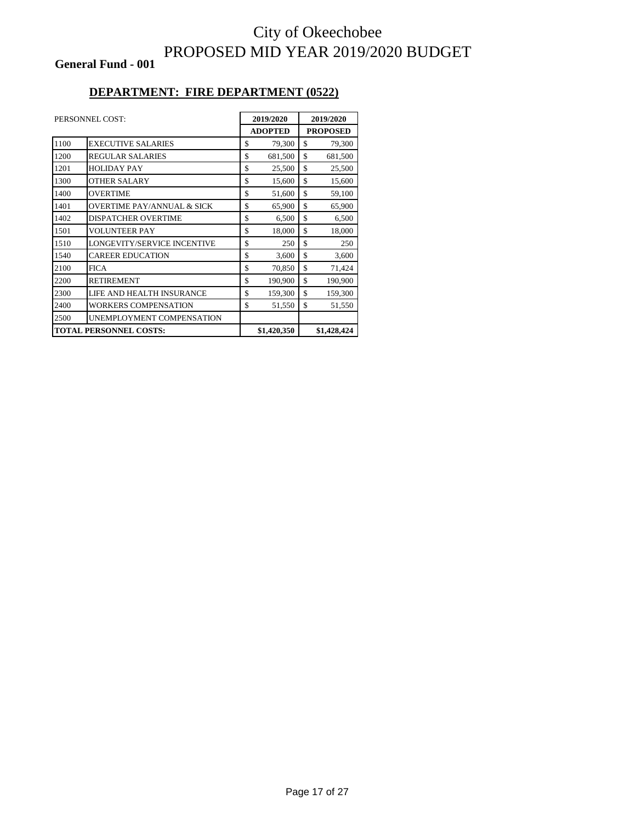**General Fund - 001**

#### **DEPARTMENT: FIRE DEPARTMENT (0522)**

|      | PERSONNEL COST:                       | 2019/2020      |    | 2019/2020       |
|------|---------------------------------------|----------------|----|-----------------|
|      |                                       | <b>ADOPTED</b> |    | <b>PROPOSED</b> |
| 1100 | <b>EXECUTIVE SALARIES</b>             | \$<br>79,300   | \$ | 79,300          |
| 1200 | <b>REGULAR SALARIES</b>               | \$<br>681,500  | \$ | 681,500         |
| 1201 | <b>HOLIDAY PAY</b>                    | \$<br>25,500   | \$ | 25,500          |
| 1300 | <b>OTHER SALARY</b>                   | \$<br>15,600   | \$ | 15,600          |
| 1400 | <b>OVERTIME</b>                       | \$<br>51,600   | \$ | 59,100          |
| 1401 | <b>OVERTIME PAY/ANNUAL &amp; SICK</b> | \$<br>65,900   | \$ | 65,900          |
| 1402 | <b>DISPATCHER OVERTIME</b>            | \$<br>6,500    | \$ | 6,500           |
| 1501 | <b>VOLUNTEER PAY</b>                  | \$<br>18,000   | \$ | 18,000          |
| 1510 | LONGEVITY/SERVICE INCENTIVE           | \$<br>250      | \$ | 250             |
| 1540 | <b>CAREER EDUCATION</b>               | \$<br>3,600    | \$ | 3,600           |
| 2100 | <b>FICA</b>                           | \$<br>70,850   | \$ | 71,424          |
| 2200 | <b>RETIREMENT</b>                     | \$<br>190,900  | \$ | 190,900         |
| 2300 | LIFE AND HEALTH INSURANCE             | \$<br>159,300  | \$ | 159,300         |
| 2400 | WORKERS COMPENSATION                  | \$<br>51,550   | \$ | 51,550          |
| 2500 | UNEMPLOYMENT COMPENSATION             |                |    |                 |
|      | <b>TOTAL PERSONNEL COSTS:</b>         | \$1,420,350    |    | \$1,428,424     |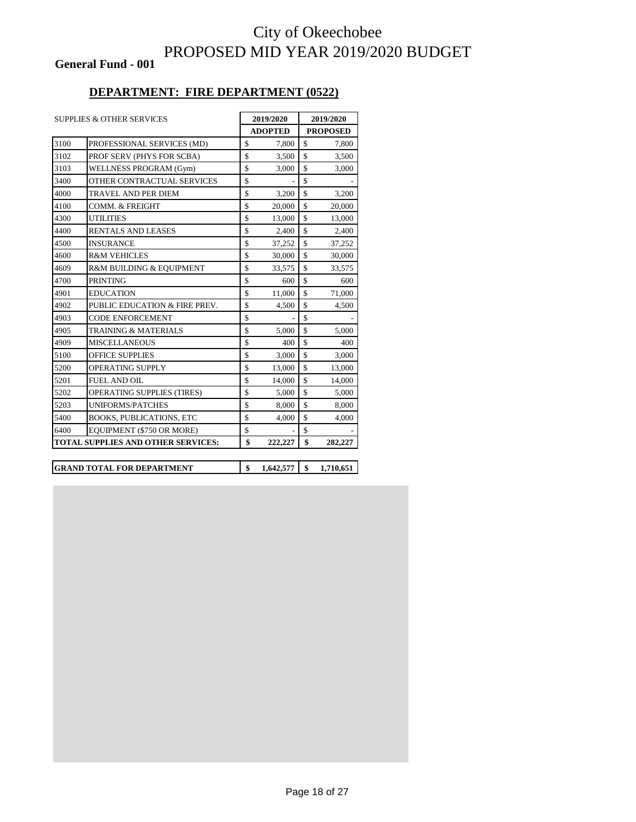**General Fund - 001**

#### **DEPARTMENT: FIRE DEPARTMENT (0522)**

|      | <b>SUPPLIES &amp; OTHER SERVICES</b> | 2019/2020      |                    | 2019/2020       |  |  |
|------|--------------------------------------|----------------|--------------------|-----------------|--|--|
|      |                                      | <b>ADOPTED</b> |                    | <b>PROPOSED</b> |  |  |
| 3100 | PROFESSIONAL SERVICES (MD)           | \$<br>7,800    | \$                 | 7,800           |  |  |
| 3102 | PROF SERV (PHYS FOR SCBA)            | \$<br>3,500    | $\mathbf S$        | 3,500           |  |  |
| 3103 | WELLNESS PROGRAM (Gym)               | \$<br>3,000    | $\mathbf S$        | 3,000           |  |  |
| 3400 | OTHER CONTRACTUAL SERVICES           | \$             | $\mathbf S$        |                 |  |  |
| 4000 | TRAVEL AND PER DIEM                  | \$<br>3,200    | $\mathbf S$        | 3,200           |  |  |
| 4100 | COMM. & FREIGHT                      | \$<br>20,000   | $\mathbf S$        | 20,000          |  |  |
| 4300 | <b>UTILITIES</b>                     | \$<br>13,000   | $\mathbf S$        | 13,000          |  |  |
| 4400 | <b>RENTALS AND LEASES</b>            | \$<br>2.400    | $\mathbf S$        | 2.400           |  |  |
| 4500 | <b>INSURANCE</b>                     | \$<br>37,252   | \$                 | 37,252          |  |  |
| 4600 | <b>R&amp;M VEHICLES</b>              | \$<br>30,000   | $\mathbf S$        | 30,000          |  |  |
| 4609 | R&M BUILDING & EQUIPMENT             | \$<br>33,575   | \$                 | 33,575          |  |  |
| 4700 | <b>PRINTING</b>                      | \$<br>600      | \$                 | 600             |  |  |
| 4901 | <b>EDUCATION</b>                     | \$<br>11,000   | $\mathbf{\hat{S}}$ | 71,000          |  |  |
| 4902 | PUBLIC EDUCATION & FIRE PREV.        | \$<br>4,500    | $\mathbf S$        | 4,500           |  |  |
| 4903 | <b>CODE ENFORCEMENT</b>              | \$             | $\mathbf S$        |                 |  |  |
| 4905 | <b>TRAINING &amp; MATERIALS</b>      | \$<br>5,000    | $\mathbf S$        | 5,000           |  |  |
| 4909 | <b>MISCELLANEOUS</b>                 | \$<br>400      | $\mathbf S$        | 400             |  |  |
| 5100 | <b>OFFICE SUPPLIES</b>               | \$<br>3,000    | \$                 | 3,000           |  |  |
| 5200 | <b>OPERATING SUPPLY</b>              | \$<br>13,000   | $\mathbf S$        | 13,000          |  |  |
| 5201 | <b>FUEL AND OIL</b>                  | \$<br>14,000   | \$                 | 14,000          |  |  |
| 5202 | <b>OPERATING SUPPLIES (TIRES)</b>    | \$<br>5,000    | $\mathbf{\hat{S}}$ | 5,000           |  |  |
| 5203 | <b>UNIFORMS/PATCHES</b>              | \$<br>8,000    | $\mathbf{\hat{S}}$ | 8,000           |  |  |
| 5400 | <b>BOOKS, PUBLICATIONS, ETC</b>      | \$<br>4,000    | \$                 | 4,000           |  |  |
| 6400 | EQUIPMENT (\$750 OR MORE)            | \$             | \$                 |                 |  |  |
|      | TOTAL SUPPLIES AND OTHER SERVICES:   | \$<br>222,227  | \$                 | 282,227         |  |  |

**GRAND TOTAL FOR DEPARTMENT \$ 1,642,577 \$ 1,710,651**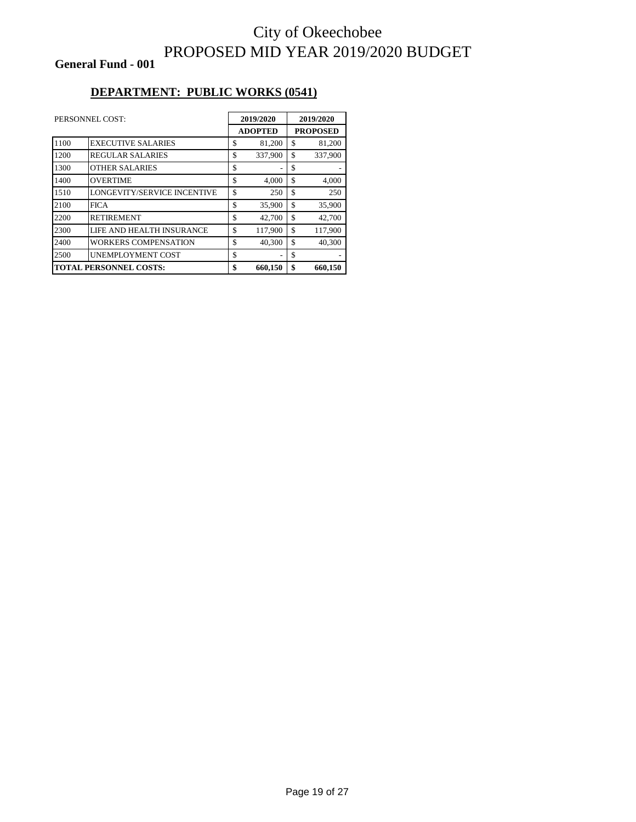**General Fund - 001**

#### **DEPARTMENT: PUBLIC WORKS (0541)**

|      | PERSONNEL COST:                    | 2019/2020 |                |    | 2019/2020 |  |                 |
|------|------------------------------------|-----------|----------------|----|-----------|--|-----------------|
|      |                                    |           | <b>ADOPTED</b> |    |           |  | <b>PROPOSED</b> |
| 1100 | <b>EXECUTIVE SALARIES</b>          | \$        | 81,200         | \$ | 81,200    |  |                 |
| 1200 | <b>REGULAR SALARIES</b>            | \$        | 337,900        | \$ | 337,900   |  |                 |
| 1300 | <b>OTHER SALARIES</b>              | \$        |                | \$ |           |  |                 |
| 1400 | <b>OVERTIME</b>                    | \$        | 4,000          | \$ | 4,000     |  |                 |
| 1510 | <b>LONGEVITY/SERVICE INCENTIVE</b> | \$        | 250            | \$ | 250       |  |                 |
| 2100 | FICA                               | \$        | 35,900         | \$ | 35,900    |  |                 |
| 2200 | <b>RETIREMENT</b>                  | \$        | 42,700         | \$ | 42,700    |  |                 |
| 2300 | LIFE AND HEALTH INSURANCE          | \$        | 117,900        | \$ | 117,900   |  |                 |
| 2400 | <b>WORKERS COMPENSATION</b>        | \$        | 40,300         | \$ | 40.300    |  |                 |
| 2500 | <b>UNEMPLOYMENT COST</b>           | \$        |                | \$ |           |  |                 |
|      | <b>TOTAL PERSONNEL COSTS:</b>      | \$        | 660,150        | \$ | 660,150   |  |                 |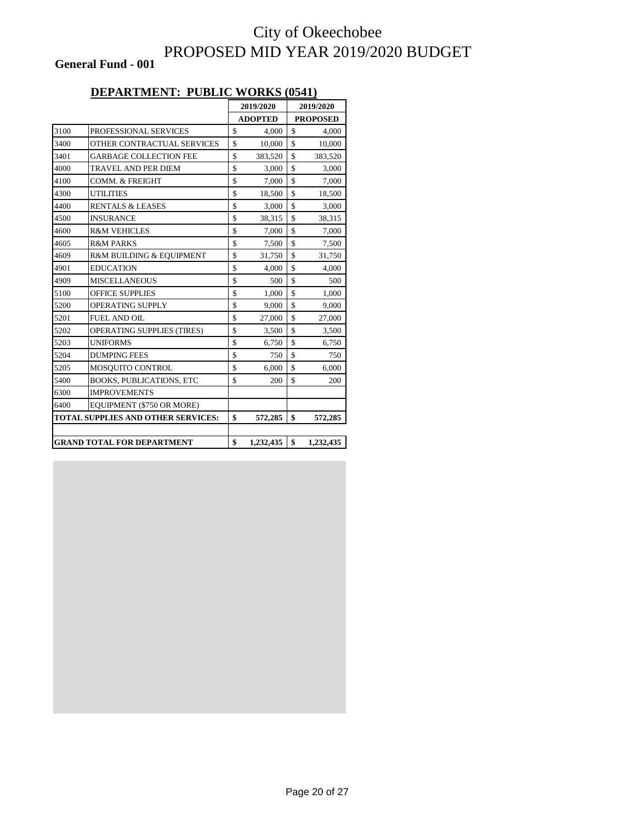**General Fund - 001**

#### **DEPARTMENT: PUBLIC WORKS (0541)**

|      |                                    | 2019/2020 |                | 2019/2020 |                 |
|------|------------------------------------|-----------|----------------|-----------|-----------------|
|      |                                    |           | <b>ADOPTED</b> |           | <b>PROPOSED</b> |
| 3100 | PROFESSIONAL SERVICES              | \$        | 4,000          | \$        | 4,000           |
| 3400 | OTHER CONTRACTUAL SERVICES         | \$        | 10,000         | \$        | 10,000          |
| 3401 | <b>GARBAGE COLLECTION FEE</b>      | \$        | 383,520        | \$        | 383,520         |
| 4000 | TRAVEL AND PER DIEM                | \$        | 3,000          | \$        | 3,000           |
| 4100 | COMM. & FREIGHT                    | \$        | 7,000          | \$        | 7,000           |
| 4300 | <b>UTILITIES</b>                   | \$        | 18,500         | \$        | 18,500          |
| 4400 | <b>RENTALS &amp; LEASES</b>        | \$        | 3,000          | \$        | 3,000           |
| 4500 | <b>INSURANCE</b>                   | \$        | 38,315         | \$        | 38,315          |
| 4600 | <b>R&amp;M VEHICLES</b>            | \$        | 7,000          | \$        | 7,000           |
| 4605 | <b>R&amp;M PARKS</b>               | \$        | 7,500          | \$        | 7,500           |
| 4609 | R&M BUILDING & EQUIPMENT           | \$        | 31,750         | \$        | 31,750          |
| 4901 | <b>EDUCATION</b>                   | \$        | 4,000          | \$        | 4,000           |
| 4909 | <b>MISCELLANEOUS</b>               | \$        | 500            | \$        | 500             |
| 5100 | <b>OFFICE SUPPLIES</b>             | \$        | 1,000          | \$        | 1,000           |
| 5200 | OPERATING SUPPLY                   | \$        | 9,000          | \$        | 9,000           |
| 5201 | FUEL AND OIL                       | \$        | 27,000         | \$        | 27,000          |
| 5202 | OPERATING SUPPLIES (TIRES)         | \$        | 3,500          | \$        | 3,500           |
| 5203 | <b>UNIFORMS</b>                    | \$        | 6,750          | \$        | 6,750           |
| 5204 | <b>DUMPING FEES</b>                | \$        | 750            | \$        | 750             |
| 5205 | MOSQUITO CONTROL                   | \$        | 6,000          | \$        | 6,000           |
| 5400 | <b>BOOKS, PUBLICATIONS, ETC</b>    | \$        | 200            | \$        | 200             |
| 6300 | <b>IMPROVEMENTS</b>                |           |                |           |                 |
| 6400 | EQUIPMENT (\$750 OR MORE)          |           |                |           |                 |
|      | TOTAL SUPPLIES AND OTHER SERVICES: | \$        | 572,285        | \$        | 572,285         |
|      |                                    |           |                |           |                 |
|      | <b>GRAND TOTAL FOR DEPARTMENT</b>  | \$        | 1,232,435      | \$        | 1,232,435       |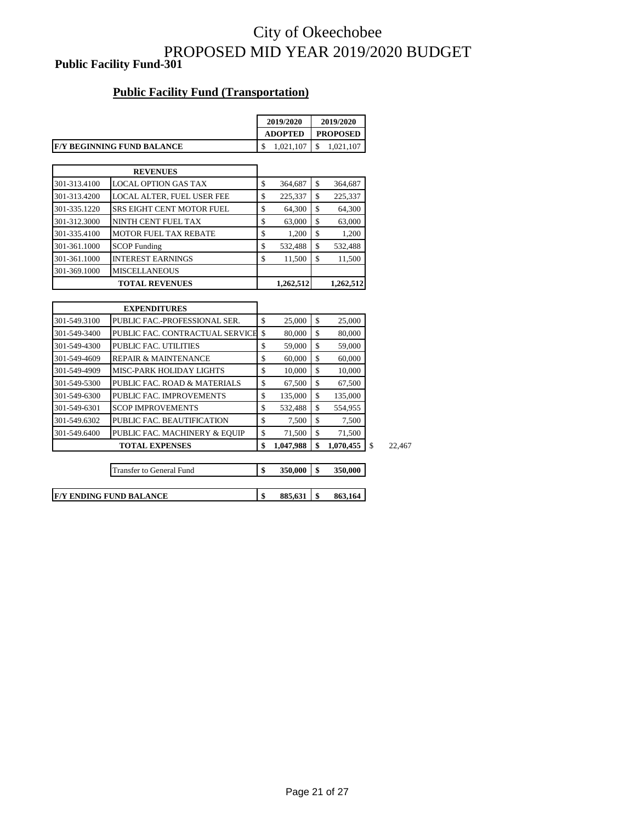### City of Okeechobee PROPOSED MID YEAR 2019/2020 BUDGET **Public Facility Fund-301**

#### **Public Facility Fund (Transportation)**

|              |                                   | 2019/2020       | 2019/2020       |           |  |
|--------------|-----------------------------------|-----------------|-----------------|-----------|--|
|              |                                   | <b>ADOPTED</b>  | <b>PROPOSED</b> |           |  |
|              | <b>F/Y BEGINNING FUND BALANCE</b> | \$<br>1,021,107 | \$              | 1,021,107 |  |
|              |                                   |                 |                 |           |  |
|              | <b>REVENUES</b>                   |                 |                 |           |  |
| 301-313.4100 | <b>LOCAL OPTION GAS TAX</b>       | \$<br>364,687   | \$              | 364,687   |  |
| 301-313.4200 | LOCAL ALTER, FUEL USER FEE        | \$<br>225,337   | $\mathbf S$     | 225,337   |  |
| 301-335.1220 | <b>SRS EIGHT CENT MOTOR FUEL</b>  | \$<br>64,300    | \$              | 64,300    |  |
| 301-312.3000 | NINTH CENT FUEL TAX               | \$<br>63,000    | $\mathbf S$     | 63,000    |  |
| 301-335.4100 | <b>MOTOR FUEL TAX REBATE</b>      | \$<br>1,200     | \$              | 1,200     |  |
| 301-361.1000 | <b>SCOP</b> Funding               | \$<br>532,488   | $\mathbf S$     | 532,488   |  |
| 301-361.1000 | <b>INTEREST EARNINGS</b>          | \$<br>11,500    | \$              | 11,500    |  |
| 301-369.1000 | <b>MISCELLANEOUS</b>              |                 |                 |           |  |
|              | <b>TOTAL REVENUES</b>             | 1,262,512       |                 | 1,262,512 |  |
|              |                                   |                 |                 |           |  |
|              | <b>EXPENDITURES</b>               |                 |                 |           |  |
| 301-549.3100 | PUBLIC FAC.-PROFESSIONAL SER.     | \$<br>25,000    | $\mathbf S$     | 25,000    |  |
| 301-549-3400 | PUBLIC FAC. CONTRACTUAL SERVICE   | \$<br>80,000    | \$              | 80,000    |  |
| 301-549-4300 | <b>PUBLIC FAC. UTILITIES</b>      | \$<br>59,000    | $\mathbf S$     | 59,000    |  |
| 301-549-4609 | <b>REPAIR &amp; MAINTENANCE</b>   | \$<br>60,000    | $\mathbf S$     | 60,000    |  |
| 301-549-4909 | MISC-PARK HOLIDAY LIGHTS          | \$<br>10,000    | \$              | 10,000    |  |
| 301-549-5300 | PUBLIC FAC. ROAD & MATERIALS      | \$<br>67,500    | $\mathbf S$     | 67,500    |  |
| 301-549-6300 | PUBLIC FAC. IMPROVEMENTS          | \$<br>135,000   | \$              | 135,000   |  |
| 301-549-6301 | <b>SCOP IMPROVEMENTS</b>          | \$<br>532,488   | \$              | 554,955   |  |
| 301-549.6302 | PUBLIC FAC. BEAUTIFICATION        | \$<br>7,500     | \$              | 7,500     |  |
| 301-549.6400 | PUBLIC FAC. MACHINERY & EQUIP     | \$<br>71,500    | $\mathbf S$     | 71,500    |  |
|              | <b>TOTAL EXPENSES</b>             | \$<br>1,047,988 | \$              | 1,070,455 |  |

**\$** 22,467

| <b>Transfer to General Fund</b> | 350,000       | 350,000 |
|---------------------------------|---------------|---------|
|                                 |               |         |
| <b>IF/Y ENDING FUND BALANCE</b> | \$<br>885.631 | 863.164 |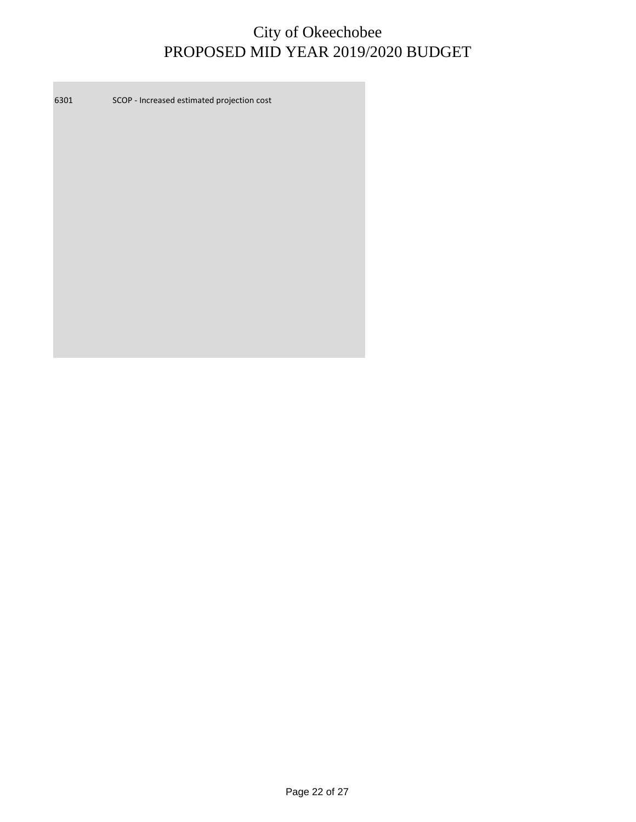6301 SCOP - Increased estimated projection cost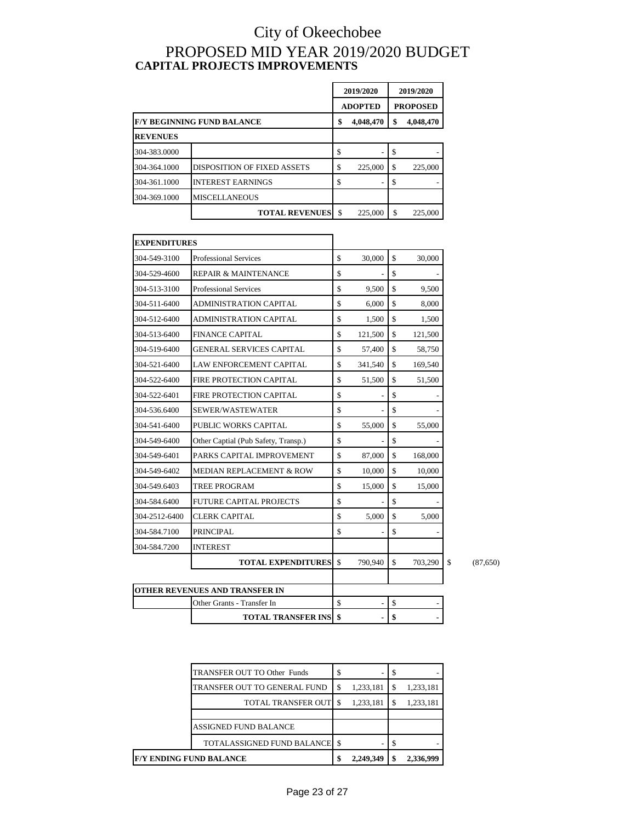### City of Okeechobee PROPOSED MID YEAR 2019/2020 BUDGET **CAPITAL PROJECTS IMPROVEMENTS**

|                 |                                    | 2019/2020 |                | 2019/2020 |                 |
|-----------------|------------------------------------|-----------|----------------|-----------|-----------------|
|                 |                                    |           | <b>ADOPTED</b> |           | <b>PROPOSED</b> |
|                 | <b>F/Y BEGINNING FUND BALANCE</b>  | \$        | 4,048,470      | \$        | 4,048,470       |
| <b>REVENUES</b> |                                    |           |                |           |                 |
| 304-383.0000    |                                    | \$        |                | \$        |                 |
| 304-364.1000    | <b>DISPOSITION OF FIXED ASSETS</b> | \$        | 225,000        | \$        | 225,000         |
| 304-361.1000    | <b>INTEREST EARNINGS</b>           | S         |                | \$        |                 |
| 304-369.1000    | <b>MISCELLANEOUS</b>               |           |                |           |                 |
|                 | <b>TOTAL REVENUES</b>              | -\$       | 225,000        | S         | 225,000         |

| <b>EXPENDITURES</b> |                                     |              |         |               |
|---------------------|-------------------------------------|--------------|---------|---------------|
| 304-549-3100        | <b>Professional Services</b>        | \$           | 30,000  | \$<br>30,000  |
| 304-529-4600        | REPAIR & MAINTENANCE                | \$           |         | \$            |
| 304-513-3100        | <b>Professional Services</b>        | \$           | 9,500   | \$<br>9,500   |
| 304-511-6400        | <b>ADMINISTRATION CAPITAL</b>       | \$           | 6,000   | \$<br>8,000   |
| 304-512-6400        | <b>ADMINISTRATION CAPITAL</b>       | \$           | 1,500   | \$<br>1,500   |
| 304-513-6400        | <b>FINANCE CAPITAL</b>              | \$           | 121,500 | \$<br>121,500 |
| 304-519-6400        | <b>GENERAL SERVICES CAPITAL</b>     | \$           | 57,400  | \$<br>58,750  |
| 304-521-6400        | <b>LAW ENFORCEMENT CAPITAL</b>      | \$           | 341,540 | \$<br>169,540 |
| 304-522-6400        | <b>FIRE PROTECTION CAPITAL</b>      | \$           | 51,500  | \$<br>51,500  |
| 304-522-6401        | FIRE PROTECTION CAPITAL             | \$           |         | \$            |
| 304-536.6400        | SEWER/WASTEWATER                    | \$           |         | \$            |
| 304-541-6400        | PUBLIC WORKS CAPITAL                | \$           | 55,000  | \$<br>55,000  |
| 304-549-6400        | Other Captial (Pub Safety, Transp.) | \$           |         | \$            |
| 304-549-6401        | PARKS CAPITAL IMPROVEMENT           | \$           | 87,000  | \$<br>168,000 |
| 304-549-6402        | <b>MEDIAN REPLACEMENT &amp; ROW</b> | \$           | 10,000  | \$<br>10,000  |
| 304-549.6403        | TREE PROGRAM                        | \$           | 15,000  | \$<br>15,000  |
| 304-584.6400        | <b>FUTURE CAPITAL PROJECTS</b>      | \$           |         | \$            |
| 304-2512-6400       | CLERK CAPITAL                       | \$           | 5,000   | \$<br>5,000   |
| 304-584.7100        | <b>PRINCIPAL</b>                    | \$           |         | \$            |
| 304-584.7200        | <b>INTEREST</b>                     |              |         |               |
|                     | <b>TOTAL EXPENDITURES</b>           | $\mathbb{S}$ | 790,940 | \$<br>703,290 |
|                     | OTHER REVENUES AND TRANSFER IN      |              |         |               |
|                     | Other Grants - Transfer In          | $\mathbf S$  |         | \$            |
|                     | <b>TOTAL TRANSFER INS</b>           | \$           |         | \$            |

**\$** (87,650)

| F/Y ENDING FUND BALANCE            |    | 2,249,349 | 2,336,999 |
|------------------------------------|----|-----------|-----------|
| TOTALASSIGNED FUND BALANCE \\$     |    |           |           |
| <b>ASSIGNED FUND BALANCE</b>       |    |           |           |
|                                    |    |           |           |
| <b>TOTAL TRANSFER OUT \$</b>       |    | 1,233,181 | 1,233,181 |
| TRANSFER OUT TO GENERAL FUND       | \$ | 1,233,181 | 1,233,181 |
| <b>TRANSFER OUT TO Other Funds</b> | S  |           | \$        |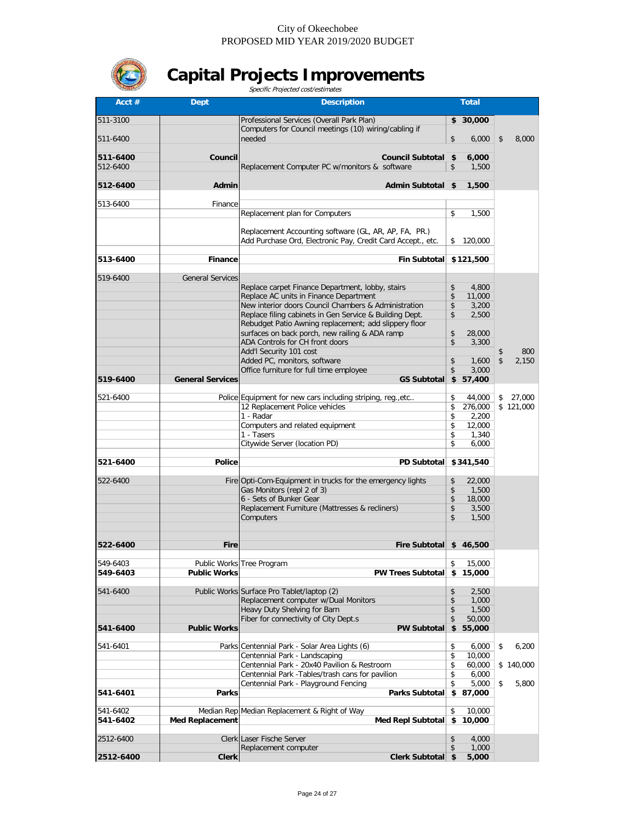

# **Capital Projects Improvements** Specific Projected cost/estimates

|                      |                         | Specific Projected cost/estimates                                                                               |                               |                                |
|----------------------|-------------------------|-----------------------------------------------------------------------------------------------------------------|-------------------------------|--------------------------------|
| Acct $#$             | <b>Dept</b>             | <b>Description</b>                                                                                              | <b>Total</b>                  |                                |
| 511-3100             |                         | Professional Services (Overall Park Plan)                                                                       | \$30,000                      |                                |
|                      |                         | Computers for Council meetings (10) wiring/cabling if                                                           |                               |                                |
| 511-6400             |                         | needed                                                                                                          | \$<br>6,000                   | \$<br>8,000                    |
| 511-6400             | Council                 | Council Subtotal \$                                                                                             | 6,000                         |                                |
| 512-6400             |                         | Replacement Computer PC w/monitors & software                                                                   | \$<br>1,500                   |                                |
| 512-6400             | Admin                   |                                                                                                                 | 1,500                         |                                |
|                      |                         | Admin Subtotal \$                                                                                               |                               |                                |
| 513-6400             | Finance                 |                                                                                                                 |                               |                                |
|                      |                         | Replacement plan for Computers                                                                                  | \$<br>1,500                   |                                |
|                      |                         | Replacement Accounting software (GL, AR, AP, FA, PR.)                                                           |                               |                                |
|                      |                         | Add Purchase Ord, Electronic Pay, Credit Card Accept., etc.                                                     | \$<br>120,000                 |                                |
|                      |                         |                                                                                                                 |                               |                                |
| 513-6400             | <b>Finance</b>          | <b>Fin Subtotal</b>                                                                                             | \$121,500                     |                                |
| 519-6400             | <b>General Services</b> |                                                                                                                 |                               |                                |
|                      |                         | Replace carpet Finance Department, lobby, stairs                                                                | \$<br>4,800                   |                                |
|                      |                         | Replace AC units in Finance Department                                                                          | \$<br>11,000                  |                                |
|                      |                         | New interior doors Council Chambers & Administration<br>Replace filing cabinets in Gen Service & Building Dept. | \$<br>3.200<br>\$<br>2,500    |                                |
|                      |                         | Rebudget Patio Awning replacement; add slippery floor                                                           |                               |                                |
|                      |                         | surfaces on back porch, new railing & ADA ramp                                                                  | \$<br>28,000                  |                                |
|                      |                         | ADA Controls for CH front doors                                                                                 | \$<br>3,300                   |                                |
|                      |                         | Add'l Security 101 cost<br>Added PC, monitors, software                                                         | \$<br>1.600                   | 800<br>$\mathfrak{S}$<br>2,150 |
|                      |                         | Office furniture for full time employee                                                                         | \$<br>3,000                   |                                |
| 519-6400             | <b>General Services</b> | <b>GS Subtotal</b>                                                                                              | \$<br>57,400                  |                                |
|                      |                         |                                                                                                                 |                               |                                |
| 521-6400             |                         | Police Equipment for new cars including striping, reg., etc<br>12 Replacement Police vehicles                   | \$<br>44,000<br>\$<br>276,000 | 27,000<br>\$<br>\$121,000      |
|                      |                         | 1 - Radar                                                                                                       | \$<br>2,200                   |                                |
|                      |                         | Computers and related equipment                                                                                 | \$<br>12,000                  |                                |
|                      |                         | 1 - Tasers                                                                                                      | \$<br>1,340                   |                                |
|                      |                         | Citywide Server (location PD)                                                                                   | 6,000<br>\$                   |                                |
| 521-6400             | <b>Police</b>           | <b>PD Subtotal</b>                                                                                              | \$341,540                     |                                |
|                      |                         |                                                                                                                 |                               |                                |
| 522-6400             |                         | Fire Opti-Com-Equipment in trucks for the emergency lights<br>Gas Monitors (repl 2 of 3)                        | \$<br>22,000<br>\$<br>1,500   |                                |
|                      |                         | 6 - Sets of Bunker Gear                                                                                         | \$<br>18,000                  |                                |
|                      |                         | Replacement Furniture (Mattresses & recliners)                                                                  | \$<br>3,500                   |                                |
|                      |                         | Computers                                                                                                       | \$<br>1,500                   |                                |
|                      |                         |                                                                                                                 |                               |                                |
| 522-6400             | <b>Fire</b>             | Fire Subtotal                                                                                                   | \$46,500                      |                                |
|                      |                         |                                                                                                                 |                               |                                |
| 549-6403<br>549-6403 | <b>Public Works</b>     | Public Works Tree Program<br><b>PW Trees Subtotal</b>                                                           | \$<br>15,000<br>\$<br>15,000  |                                |
|                      |                         |                                                                                                                 |                               |                                |
| 541-6400             |                         | Public Works Surface Pro Tablet/laptop (2)                                                                      | \$<br>2,500                   |                                |
|                      |                         | Replacement computer w/Dual Monitors                                                                            | \$<br>1,000                   |                                |
|                      |                         | Heavy Duty Shelving for Barn<br>Fiber for connectivity of City Dept.s                                           | \$<br>1,500<br>\$<br>50,000   |                                |
| 541-6400             | <b>Public Works</b>     | <b>PW Subtotal</b>                                                                                              | \$<br>55,000                  |                                |
|                      |                         |                                                                                                                 |                               |                                |
| 541-6401             |                         | Parks Centennial Park - Solar Area Lights (6)                                                                   | \$<br>6,000<br>\$             | \$<br>6,200                    |
|                      |                         | Centennial Park - Landscaping<br>Centennial Park - 20x40 Pavilion & Restroom                                    | 10,000<br>\$<br>60,000        | \$140,000                      |
|                      |                         | Centennial Park -Tables/trash cans for pavilion                                                                 | 6,000<br>\$                   |                                |
|                      |                         | Centennial Park - Playground Fencing                                                                            | \$<br>5,000                   | \$<br>5,800                    |
| 541-6401             | Parks                   | <b>Parks Subtotal</b>                                                                                           | 87,000<br>\$                  |                                |
| 541-6402             |                         | Median Rep Median Replacement & Right of Way                                                                    | \$<br>10,000                  |                                |
| 541-6402             | <b>Med Replacement</b>  | <b>Med Repl Subtotal</b>                                                                                        | 10,000<br>\$                  |                                |
|                      |                         |                                                                                                                 |                               |                                |
| 2512-6400            |                         | Clerk Laser Fische Server<br>Replacement computer                                                               | \$<br>4,000<br>\$<br>1,000    |                                |
| 2512-6400            | <b>Clerk</b>            | Clerk Subtotal \$                                                                                               | 5,000                         |                                |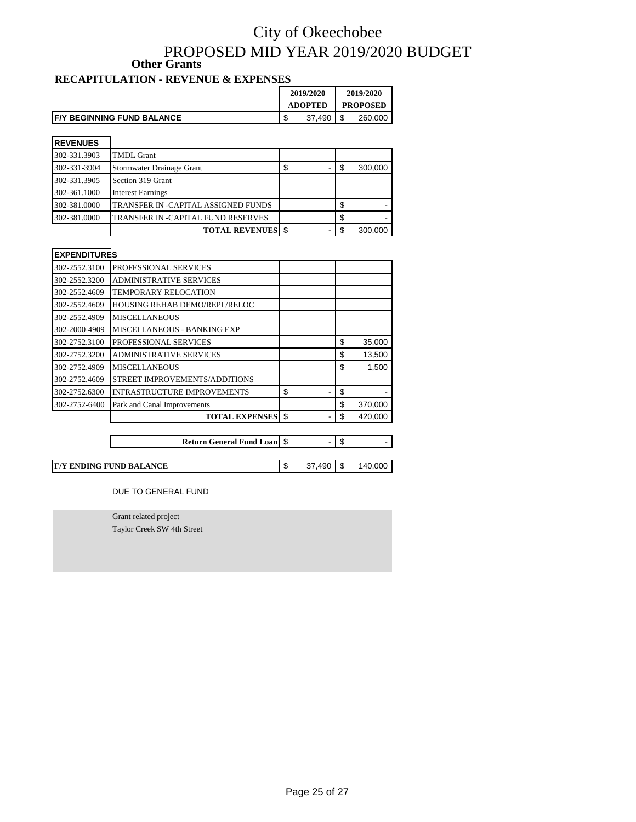### City of Okeechobee PROPOSED MID YEAR 2019/2020 BUDGET **RECAPITULATION - REVENUE & EXPENSES Other Grants**

#### **2019/2020 2019/2020 ADOPTED PROPOSED F/Y BEGINNING FUND BALANCE**  $\begin{array}{|c|c|c|c|c|} \hline \text{5} & 37,490 & \text{$} & 260,000\end{array}$

| <b>REVENUES</b> |                                     |    |     |         |
|-----------------|-------------------------------------|----|-----|---------|
| 302-331.3903    | <b>TMDL Grant</b>                   |    |     |         |
| 302-331-3904    | Stormwater Drainage Grant           | S. |     | 300,000 |
| 302-331.3905    | Section 319 Grant                   |    |     |         |
| 302-361.1000    | <b>Interest Earnings</b>            |    |     |         |
| 302-381.0000    | TRANSFER IN -CAPITAL ASSIGNED FUNDS |    |     |         |
| 302-381.0000    | TRANSFER IN -CAPITAL FUND RESERVES  |    |     |         |
|                 | <b>TOTAL REVENUES</b> \$            |    | \$. | 300.000 |

| <b>EXPENDITURES</b> |                                    |          |         |
|---------------------|------------------------------------|----------|---------|
| 302-2552.3100       | PROFESSIONAL SERVICES              |          |         |
| 302-2552.3200       | <b>ADMINISTRATIVE SERVICES</b>     |          |         |
| 302-2552.4609       | <b>TEMPORARY RELOCATION</b>        |          |         |
| 302-2552.4609       | HOUSING REHAB DEMO/REPL/RELOC      |          |         |
| 302-2552.4909       | <b>MISCELLANEOUS</b>               |          |         |
| 302-2000-4909       | MISCELLANEOUS - BANKING EXP        |          |         |
| 302-2752.3100       | PROFESSIONAL SERVICES              | \$       | 35,000  |
| 302-2752.3200       | <b>ADMINISTRATIVE SERVICES</b>     | \$       | 13,500  |
| 302-2752.4909       | <b>MISCELLANEOUS</b>               | \$       | 1,500   |
| 302-2752.4609       | STREET IMPROVEMENTS/ADDITIONS      |          |         |
| 302-2752.6300       | <b>INFRASTRUCTURE IMPROVEMENTS</b> | \$<br>\$ |         |
| 302-2752-6400       | Park and Canal Improvements        | \$       | 370,000 |
|                     | <b>TOTAL EXPENSES</b>              | \$<br>\$ | 420,000 |
|                     |                                    |          |         |
|                     | <b>Return General Fund Loan</b> \$ | \$       |         |

**F/Y ENDING FUND BALANCE** <br> **S** 37,490 \$ 140,000

DUE TO GENERAL FUND

Grant related project Taylor Creek SW 4th Street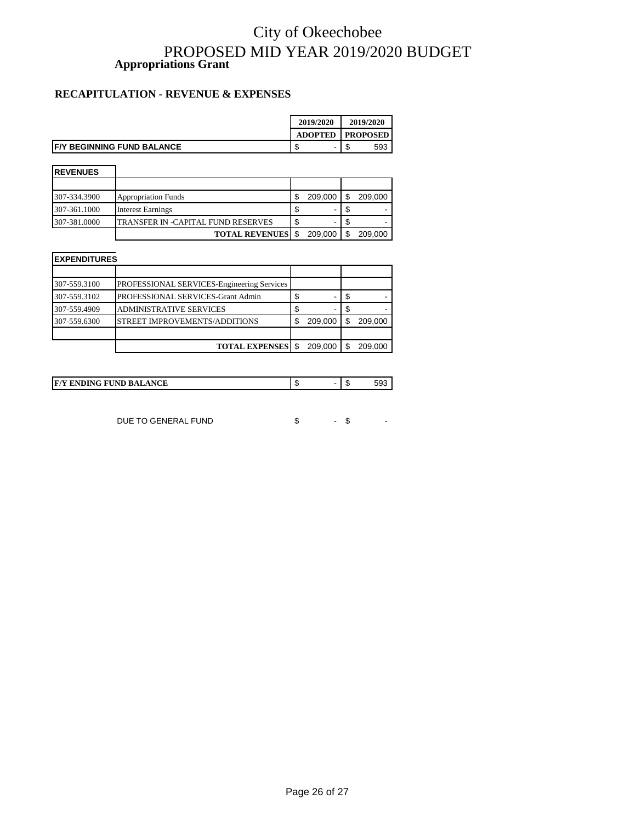### City of Okeechobee PROPOSED MID YEAR 2019/2020 BUDGET **Appropriations Grant**

#### **RECAPITULATION - REVENUE & EXPENSES**

|                                    | 2019/2020      | 2019/2020       |
|------------------------------------|----------------|-----------------|
|                                    | <b>ADOPTED</b> | <b>PROPOSED</b> |
| <b>IF/Y BEGINNING FUND BALANCE</b> | -              | 593<br>мD       |

| <b>IREVENUES</b> |                                    |         |         |
|------------------|------------------------------------|---------|---------|
|                  |                                    |         |         |
| 307-334.3900     | <b>Appropriation Funds</b>         | 209.000 | 209,000 |
| 307-361.1000     | <b>Interest Earnings</b>           | ۰       |         |
| 307-381.0000     | TRANSFER IN -CAPITAL FUND RESERVES | ۰       |         |
|                  | <b>TOTAL REVENUES</b>              | 209.000 | 209,000 |

| <b>EXPENDITURES</b> |                                            |    |         |  |         |  |  |  |
|---------------------|--------------------------------------------|----|---------|--|---------|--|--|--|
|                     |                                            |    |         |  |         |  |  |  |
| 307-559.3100        | PROFESSIONAL SERVICES-Engineering Services |    |         |  |         |  |  |  |
| 307-559.3102        | PROFESSIONAL SERVICES-Grant Admin          | \$ | -       |  |         |  |  |  |
| 307-559.4909        | <b>ADMINISTRATIVE SERVICES</b>             | \$ | ۰       |  |         |  |  |  |
| 307-559.6300        | STREET IMPROVEMENTS/ADDITIONS              | \$ | 209,000 |  | 209.000 |  |  |  |
|                     |                                            |    |         |  |         |  |  |  |
|                     | <b>TOTAL EXPENSES</b>                      |    | 209.000 |  | 209.000 |  |  |  |

| <b>IF/Y ENDING FUND BALANCE</b> |  |  | ົ່ |
|---------------------------------|--|--|----|
|---------------------------------|--|--|----|

DUE TO GENERAL FUND \$ - \$